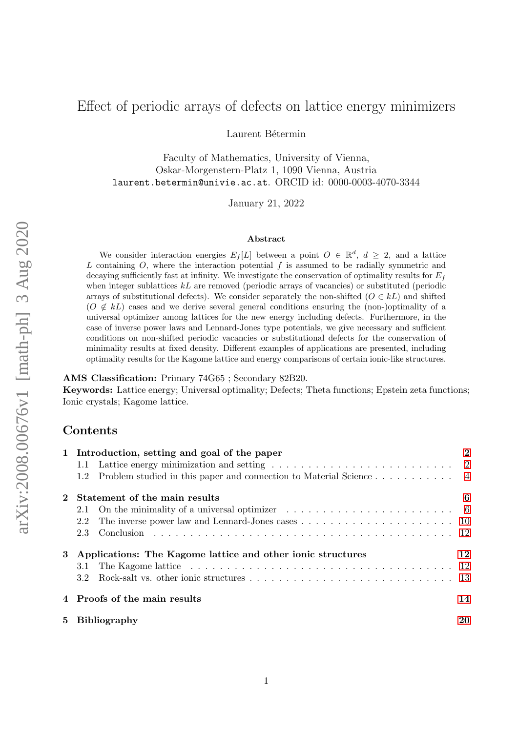# Effect of periodic arrays of defects on lattice energy minimizers

Laurent Bétermin

Faculty of Mathematics, University of Vienna, Oskar-Morgenstern-Platz 1, 1090 Vienna, Austria laurent.betermin@univie.ac.at. ORCID id: 0000-0003-4070-3344

January 21, 2022

#### Abstract

We consider interaction energies  $E_f[L]$  between a point  $O \in \mathbb{R}^d$ ,  $d \geq 2$ , and a lattice L containing  $O$ , where the interaction potential  $f$  is assumed to be radially symmetric and decaying sufficiently fast at infinity. We investigate the conservation of optimality results for  $E_f$ when integer sublattices  $kL$  are removed (periodic arrays of vacancies) or substituted (periodic arrays of substitutional defects). We consider separately the non-shifted ( $O \in kL$ ) and shifted  $(O \notin kL)$  cases and we derive several general conditions ensuring the (non-)optimality of a universal optimizer among lattices for the new energy including defects. Furthermore, in the case of inverse power laws and Lennard-Jones type potentials, we give necessary and sufficient conditions on non-shifted periodic vacancies or substitutional defects for the conservation of minimality results at fixed density. Different examples of applications are presented, including optimality results for the Kagome lattice and energy comparisons of certain ionic-like structures.

### AMS Classification: Primary 74G65 ; Secondary 82B20.

Keywords: Lattice energy; Universal optimality; Defects; Theta functions; Epstein zeta functions; Ionic crystals; Kagome lattice.

## Contents

|             | 1 Introduction, setting and goal of the paper                                                                          | $\mathbf 2$ |  |  |  |  |  |  |  |  |  |  |
|-------------|------------------------------------------------------------------------------------------------------------------------|-------------|--|--|--|--|--|--|--|--|--|--|
|             |                                                                                                                        |             |  |  |  |  |  |  |  |  |  |  |
|             |                                                                                                                        |             |  |  |  |  |  |  |  |  |  |  |
|             | Statement of the main results                                                                                          | 6           |  |  |  |  |  |  |  |  |  |  |
|             |                                                                                                                        |             |  |  |  |  |  |  |  |  |  |  |
|             |                                                                                                                        |             |  |  |  |  |  |  |  |  |  |  |
|             |                                                                                                                        |             |  |  |  |  |  |  |  |  |  |  |
| $3 -$       | Applications: The Kagome lattice and other ionic structures                                                            | 12          |  |  |  |  |  |  |  |  |  |  |
|             | 3.1 The Kagome lattice $\ldots \ldots \ldots \ldots \ldots \ldots \ldots \ldots \ldots \ldots \ldots \ldots \ldots 12$ |             |  |  |  |  |  |  |  |  |  |  |
|             | 3.2                                                                                                                    |             |  |  |  |  |  |  |  |  |  |  |
|             | 4 Proofs of the main results                                                                                           | 14          |  |  |  |  |  |  |  |  |  |  |
| $5^{\circ}$ | 20<br><b>Bibliography</b>                                                                                              |             |  |  |  |  |  |  |  |  |  |  |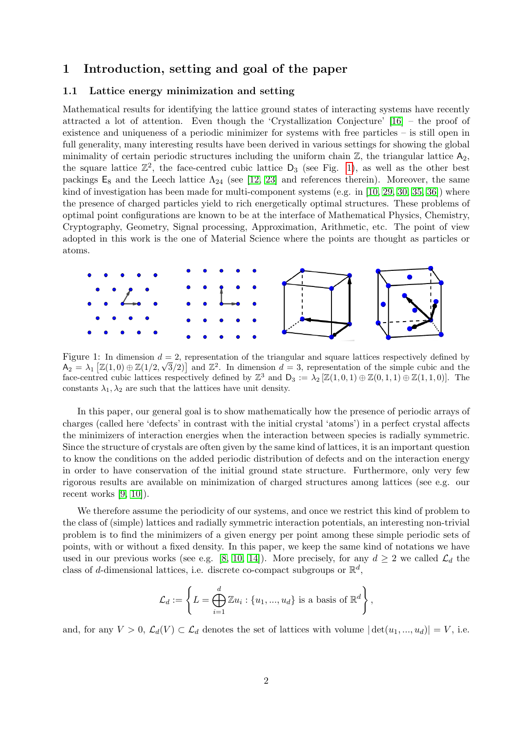## <span id="page-1-0"></span>1 Introduction, setting and goal of the paper

### <span id="page-1-1"></span>1.1 Lattice energy minimization and setting

Mathematical results for identifying the lattice ground states of interacting systems have recently attracted a lot of attention. Even though the 'Crystallization Conjecture' [\[16\]](#page-19-1) – the proof of existence and uniqueness of a periodic minimizer for systems with free particles – is still open in full generality, many interesting results have been derived in various settings for showing the global minimality of certain periodic structures including the uniform chain  $\mathbb{Z}$ , the triangular lattice  $A_2$ , the square lattice  $\mathbb{Z}^2$ , the face-centred cubic lattice  $D_3$  (see Fig. [1\)](#page-1-2), as well as the other best packings  $E_8$  and the Leech lattice  $\Lambda_{24}$  (see [\[12,](#page-19-2) [23\]](#page-19-3) and references therein). Moreover, the same kind of investigation has been made for multi-component systems (e.g. in [\[10,](#page-19-4) [29,](#page-19-5) [30,](#page-20-0) [35,](#page-20-1) [36\]](#page-20-2)) where the presence of charged particles yield to rich energetically optimal structures. These problems of optimal point configurations are known to be at the interface of Mathematical Physics, Chemistry, Cryptography, Geometry, Signal processing, Approximation, Arithmetic, etc. The point of view adopted in this work is the one of Material Science where the points are thought as particles or atoms.



<span id="page-1-2"></span>Figure 1: In dimension  $d = 2$ , representation of the triangular and square lattices respectively defined by  $A_2 = \lambda_1 \left[ \mathbb{Z}(1,0) \oplus \mathbb{Z}(1/2,\sqrt{3}/2) \right]$  and  $\mathbb{Z}^2$ . In dimension  $d = 3$ , representation of the simple cubic and the face-centred cubic lattices respectively defined by  $\mathbb{Z}^3$  and  $D_3 := \lambda_2 [\mathbb{Z}(1,0,1) \oplus \mathbb{Z}(0,1,1) \oplus \mathbb{Z}(1,1,0)].$  The constants  $\lambda_1, \lambda_2$  are such that the lattices have unit density.

In this paper, our general goal is to show mathematically how the presence of periodic arrays of charges (called here 'defects' in contrast with the initial crystal 'atoms') in a perfect crystal affects the minimizers of interaction energies when the interaction between species is radially symmetric. Since the structure of crystals are often given by the same kind of lattices, it is an important question to know the conditions on the added periodic distribution of defects and on the interaction energy in order to have conservation of the initial ground state structure. Furthermore, only very few rigorous results are available on minimization of charged structures among lattices (see e.g. our recent works  $[9, 10]$  $[9, 10]$ .

We therefore assume the periodicity of our systems, and once we restrict this kind of problem to the class of (simple) lattices and radially symmetric interaction potentials, an interesting non-trivial problem is to find the minimizers of a given energy per point among these simple periodic sets of points, with or without a fixed density. In this paper, we keep the same kind of notations we have used in our previous works (see e.g. [\[8,](#page-19-7) [10,](#page-19-4) [14\]](#page-19-8)). More precisely, for any  $d \geq 2$  we called  $\mathcal{L}_d$  the class of d-dimensional lattices, i.e. discrete co-compact subgroups or  $\mathbb{R}^d$ ,

$$
\mathcal{L}_d := \left\{ L = \bigoplus_{i=1}^d \mathbb{Z} u_i : \{u_1, ..., u_d\} \text{ is a basis of } \mathbb{R}^d \right\},\
$$

and, for any  $V > 0$ ,  $\mathcal{L}_d(V) \subset \mathcal{L}_d$  denotes the set of lattices with volume  $|\det(u_1, ..., u_d)| = V$ , i.e.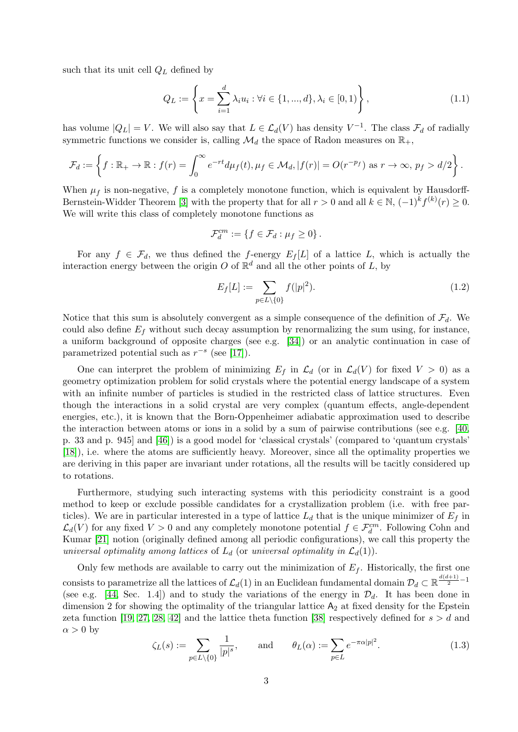such that its unit cell  $Q_L$  defined by

<span id="page-2-1"></span>
$$
Q_L := \left\{ x = \sum_{i=1}^d \lambda_i u_i : \forall i \in \{1, ..., d\}, \lambda_i \in [0, 1) \right\},\tag{1.1}
$$

has volume  $|Q_L| = V$ . We will also say that  $L \in \mathcal{L}_d(V)$  has density  $V^{-1}$ . The class  $\mathcal{F}_d$  of radially symmetric functions we consider is, calling  $\mathcal{M}_d$  the space of Radon measures on  $\mathbb{R}_+$ ,

$$
\mathcal{F}_d := \left\{ f : \mathbb{R}_+ \to \mathbb{R} : f(r) = \int_0^\infty e^{-rt} d\mu_f(t), \mu_f \in \mathcal{M}_d, |f(r)| = O(r^{-p_f}) \text{ as } r \to \infty, p_f > d/2 \right\}.
$$

When  $\mu_f$  is non-negative, f is a completely monotone function, which is equivalent by Hausdorff-Bernstein-Widder Theorem [\[3\]](#page-19-9) with the property that for all  $r > 0$  and all  $k \in \mathbb{N}$ ,  $(-1)^k f^{(k)}(r) \geq 0$ . We will write this class of completely monotone functions as

$$
\mathcal{F}_d^{cm} := \{ f \in \mathcal{F}_d : \mu_f \ge 0 \}.
$$

For any  $f \in \mathcal{F}_d$ , we thus defined the f-energy  $E_f[L]$  of a lattice L, which is actually the interaction energy between the origin O of  $\mathbb{R}^d$  and all the other points of L, by

<span id="page-2-0"></span>
$$
E_f[L] := \sum_{p \in L \setminus \{0\}} f(|p|^2). \tag{1.2}
$$

Notice that this sum is absolutely convergent as a simple consequence of the definition of  $\mathcal{F}_d$ . We could also define  $E_f$  without such decay assumption by renormalizing the sum using, for instance, a uniform background of opposite charges (see e.g. [\[34\]](#page-20-3)) or an analytic continuation in case of parametrized potential such as  $r^{-s}$  (see [\[17\]](#page-19-10)).

One can interpret the problem of minimizing  $E_f$  in  $\mathcal{L}_d$  (or in  $\mathcal{L}_d(V)$  for fixed  $V > 0$ ) as a geometry optimization problem for solid crystals where the potential energy landscape of a system with an infinite number of particles is studied in the restricted class of lattice structures. Even though the interactions in a solid crystal are very complex (quantum effects, angle-dependent energies, etc.), it is known that the Born-Oppenheimer adiabatic approximation used to describe the interaction between atoms or ions in a solid by a sum of pairwise contributions (see e.g. [\[40,](#page-20-4) p. 33 and p. 945] and [\[46\]](#page-20-5)) is a good model for 'classical crystals' (compared to 'quantum crystals' [\[18\]](#page-19-11)), i.e. where the atoms are sufficiently heavy. Moreover, since all the optimality properties we are deriving in this paper are invariant under rotations, all the results will be tacitly considered up to rotations.

Furthermore, studying such interacting systems with this periodicity constraint is a good method to keep or exclude possible candidates for a crystallization problem (i.e. with free particles). We are in particular interested in a type of lattice  $L_d$  that is the unique minimizer of  $E_f$  in  $\mathcal{L}_d(V)$  for any fixed  $V > 0$  and any completely monotone potential  $f \in \mathcal{F}_d^{cm}$ . Following Cohn and Kumar [\[21\]](#page-19-12) notion (originally defined among all periodic configurations), we call this property the universal optimality among lattices of  $L_d$  (or universal optimality in  $\mathcal{L}_d(1)$ ).

Only few methods are available to carry out the minimization of  $E_f$ . Historically, the first one consists to parametrize all the lattices of  $\mathcal{L}_d(1)$  in an Euclidean fundamental domain  $\mathcal{D}_d\subset \mathbb{R}^{\frac{d(d+1)}{2}-1}$ (see e.g. [\[44,](#page-20-6) Sec. 1.4]) and to study the variations of the energy in  $\mathcal{D}_d$ . It has been done in dimension 2 for showing the optimality of the triangular lattice  $A_2$  at fixed density for the Epstein zeta function [\[19,](#page-19-13) [27,](#page-19-14) [28,](#page-19-15) [42\]](#page-20-7) and the lattice theta function [\[38\]](#page-20-8) respectively defined for  $s > d$  and  $\alpha > 0$  by

<span id="page-2-2"></span>
$$
\zeta_L(s) := \sum_{p \in L \setminus \{0\}} \frac{1}{|p|^s}, \quad \text{and} \quad \theta_L(\alpha) := \sum_{p \in L} e^{-\pi \alpha |p|^2}.
$$
 (1.3)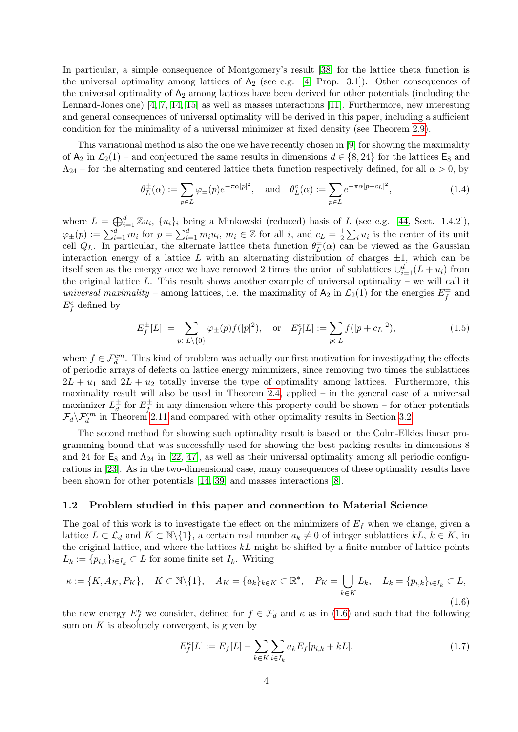In particular, a simple consequence of Montgomery's result [\[38\]](#page-20-8) for the lattice theta function is the universal optimality among lattices of  $A_2$  (see e.g. [\[4,](#page-19-16) Prop. 3.1]). Other consequences of the universal optimality of  $A_2$  among lattices have been derived for other potentials (including the Lennard-Jones one) [\[4,](#page-19-16) [7,](#page-19-17) [14,](#page-19-8) [15\]](#page-19-18) as well as masses interactions [\[11\]](#page-19-19). Furthermore, new interesting and general consequences of universal optimality will be derived in this paper, including a sufficient condition for the minimality of a universal minimizer at fixed density (see Theorem [2.9\)](#page-7-0).

This variational method is also the one we have recently chosen in [\[9\]](#page-19-6) for showing the maximality of  $A_2$  in  $\mathcal{L}_2(1)$  – and conjectured the same results in dimensions  $d \in \{8, 24\}$  for the lattices  $E_8$  and  $\Lambda_{24}$  – for the alternating and centered lattice theta function respectively defined, for all  $\alpha > 0$ , by

$$
\theta_L^{\pm}(\alpha) := \sum_{p \in L} \varphi_{\pm}(p) e^{-\pi \alpha |p|^2}, \quad \text{and} \quad \theta_L^c(\alpha) := \sum_{p \in L} e^{-\pi \alpha |p + c_L|^2}, \tag{1.4}
$$

where  $L = \bigoplus_{i=1}^d \mathbb{Z} u_i$ ,  $\{u_i\}_i$  being a Minkowski (reduced) basis of L (see e.g. [\[44,](#page-20-6) Sect. 1.4.2]),  $\varphi_{\pm}(p) := \sum_{i=1}^d m_i$  for  $p = \sum_{i=1}^d m_i u_i$ ,  $m_i \in \mathbb{Z}$  for all i, and  $c_L = \frac{1}{2}$  $\frac{1}{2}\sum_i u_i$  is the center of its unit cell  $Q_L$ . In particular, the alternate lattice theta function  $\theta_L^{\pm}$  $L^{\pm}(\alpha)$  can be viewed as the Gaussian interaction energy of a lattice L with an alternating distribution of charges  $\pm 1$ , which can be itself seen as the energy once we have removed 2 times the union of sublattices  $\cup_{i=1}^d (L + u_i)$  from the original lattice  $L$ . This result shows another example of universal optimality – we will call it universal maximality – among lattices, i.e. the maximality of A<sub>2</sub> in  $\mathcal{L}_2(1)$  for the energies  $E_f^{\pm}$  $f^{\pm}$  and  $E_f^c$  defined by

<span id="page-3-2"></span>
$$
E_f^{\pm}[L] := \sum_{p \in L \setminus \{0\}} \varphi_{\pm}(p) f(|p|^2), \quad \text{or} \quad E_f^c[L] := \sum_{p \in L} f(|p + c_L|^2), \tag{1.5}
$$

where  $f \in \mathcal{F}_d^{cm}$ . This kind of problem was actually our first motivation for investigating the effects of periodic arrays of defects on lattice energy minimizers, since removing two times the sublattices  $2L + u_1$  and  $2L + u_2$  totally inverse the type of optimality among lattices. Furthermore, this maximality result will also be used in Theorem [2.4,](#page-6-0) applied – in the general case of a universal maximizer  $L_d^{\pm}$  $_d^{\pm}$  for  $E_f^{\pm}$  $\int_{f}^{\pm}$  in any dimension where this property could be shown – for other potentials  $\mathcal{F}_d \backslash \mathcal{F}_d^{cm}$  in Theorem [2.11](#page-8-0) and compared with other optimality results in Section [3.2.](#page-12-0)

The second method for showing such optimality result is based on the Cohn-Elkies linear programming bound that was successfully used for showing the best packing results in dimensions 8 and 24 for  $E_8$  and  $\Lambda_{24}$  in [\[22,](#page-19-20) [47\]](#page-20-9), as well as their universal optimality among all periodic configurations in [\[23\]](#page-19-3). As in the two-dimensional case, many consequences of these optimality results have been shown for other potentials [\[14,](#page-19-8) [39\]](#page-20-10) and masses interactions [\[8\]](#page-19-7).

#### <span id="page-3-0"></span>1.2 Problem studied in this paper and connection to Material Science

The goal of this work is to investigate the effect on the minimizers of  $E_f$  when we change, given a lattice  $L \subset \mathcal{L}_d$  and  $K \subset \mathbb{N}\setminus\{1\}$ , a certain real number  $a_k \neq 0$  of integer sublattices  $kL, k \in K$ , in the original lattice, and where the lattices  $kL$  might be shifted by a finite number of lattice points  $L_k := \{p_{i,k}\}_{i \in I_k} \subset L$  for some finite set  $I_k$ . Writing

<span id="page-3-1"></span>
$$
\kappa := \{K, A_K, P_K\}, \quad K \subset \mathbb{N} \setminus \{1\}, \quad A_K = \{a_k\}_{k \in K} \subset \mathbb{R}^*, \quad P_K = \bigcup_{k \in K} L_k, \quad L_k = \{p_{i,k}\}_{i \in I_k} \subset L,
$$
\n(1.6)

the new energy  $E_f^{\kappa}$  we consider, defined for  $f \in \mathcal{F}_d$  and  $\kappa$  as in [\(1.6\)](#page-3-1) and such that the following sum on  $K$  is absolutely convergent, is given by

$$
E_f^{\kappa}[L] := E_f[L] - \sum_{k \in K} \sum_{i \in I_k} a_k E_f[p_{i,k} + k] \tag{1.7}
$$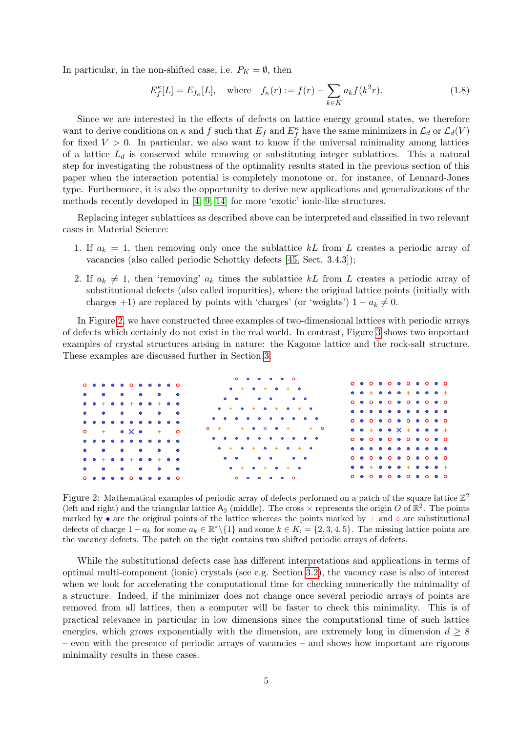In particular, in the non-shifted case, i.e.  $P_K = \emptyset$ , then

<span id="page-4-1"></span>
$$
E_f^{\kappa}[L] = E_{f_{\kappa}}[L], \text{ where } f_{\kappa}(r) := f(r) - \sum_{k \in K} a_k f(k^2 r). \tag{1.8}
$$

Since we are interested in the effects of defects on lattice energy ground states, we therefore want to derive conditions on  $\kappa$  and  $f$  such that  $E_f$  and  $E_f^{\kappa}$  have the same minimizers in  $\mathcal{L}_d$  or  $\mathcal{L}_d(V)$ for fixed  $V > 0$ . In particular, we also want to know if the universal minimality among lattices of a lattice  $L_d$  is conserved while removing or substituting integer sublattices. This a natural step for investigating the robustness of the optimality results stated in the previous section of this paper when the interaction potential is completely monotone or, for instance, of Lennard-Jones type. Furthermore, it is also the opportunity to derive new applications and generalizations of the methods recently developed in [\[4,](#page-19-16) [9,](#page-19-6) [14\]](#page-19-8) for more 'exotic' ionic-like structures.

Replacing integer sublattices as described above can be interpreted and classified in two relevant cases in Material Science:

- 1. If  $a_k = 1$ , then removing only once the sublattice kL from L creates a periodic array of vacancies (also called periodic Schottky defects [\[45,](#page-20-11) Sect. 3.4.3]);
- 2. If  $a_k \neq 1$ , then 'removing'  $a_k$  times the sublattice kL from L creates a periodic array of substitutional defects (also called impurities), where the original lattice points (initially with charges +1) are replaced by points with 'charges' (or 'weights')  $1 - a_k \neq 0$ .

In Figure [2,](#page-4-0) we have constructed three examples of two-dimensional lattices with periodic arrays of defects which certainly do not exist in the real world. In contrast, Figure [3](#page-5-2) shows two important examples of crystal structures arising in nature: the Kagome lattice and the rock-salt structure. These examples are discussed further in Section [3.](#page-11-1)

|                                                             |  |                                         |  |  |                                                   |           | $\circ$ $\circ$ $\circ$ $\circ$ $\circ$ $\circ$                                       |  |  |                                                             |  |  |  |
|-------------------------------------------------------------|--|-----------------------------------------|--|--|---------------------------------------------------|-----------|---------------------------------------------------------------------------------------|--|--|-------------------------------------------------------------|--|--|--|
| 0 0 0 0 0 0 0 0 0 0                                         |  |                                         |  |  |                                                   |           |                                                                                       |  |  |                                                             |  |  |  |
|                                                             |  |                                         |  |  | $\bullet$ $\bullet$ $\bullet$ $\bullet$ $\bullet$ |           | $0 + 0 + 0 + 0$                                                                       |  |  | $0$ 0 + 0 0 0 + 0 0 0 +                                     |  |  |  |
| $0$ 0 + 0 0 + 0 0 + 0 0                                     |  |                                         |  |  |                                                   |           | $\bullet$ $\bullet$<br>$\bullet$ $\bullet$<br>$\bullet$ $\bullet$                     |  |  |                                                             |  |  |  |
|                                                             |  |                                         |  |  |                                                   |           | $0 + 0 + 0 + 0 + 0$                                                                   |  |  | . <b>.</b>                                                  |  |  |  |
|                                                             |  | $\bullet$ $\bullet$ $\bullet$ $\bullet$ |  |  |                                                   | $\bullet$ |                                                                                       |  |  |                                                             |  |  |  |
| .                                                           |  |                                         |  |  |                                                   |           | . <b>.</b>                                                                            |  |  | 0 0 0 0 0 0 0 0 0 0                                         |  |  |  |
| $\circ$ + $\circ$ X $\circ$                                 |  |                                         |  |  | $+$ 0                                             |           | $0 + 40 \times 0 + 40$                                                                |  |  | $0$ 0 + 0 0 $X$ + 0 0 0 +                                   |  |  |  |
|                                                             |  |                                         |  |  |                                                   |           | $\bullet$ $\bullet$ $\bullet$ $\bullet$<br>$\bullet$ $\bullet$ $\bullet$ $\bullet$    |  |  |                                                             |  |  |  |
| .                                                           |  |                                         |  |  |                                                   |           |                                                                                       |  |  | 0 0 0 0 0 0 0 0 0 0                                         |  |  |  |
| $\bullet$ $\bullet$ $\bullet$ $\bullet$ $\bullet$ $\bullet$ |  |                                         |  |  |                                                   |           | $0 + 0 + 0 + 0 + 0$                                                                   |  |  | .                                                           |  |  |  |
| $0$ 0 + 0 0 + 0 0 + 0 0                                     |  |                                         |  |  |                                                   |           | $\bullet$ $\bullet$ $\bullet$<br>$\bullet$ $\bullet$ $\bullet$<br>$\bullet$ $\bullet$ |  |  | $0\qquad 0\qquad 0\qquad 0\qquad 0\qquad 0\qquad 0\qquad 0$ |  |  |  |
|                                                             |  |                                         |  |  | $\bullet$ $\bullet$ $\bullet$ $\bullet$ $\bullet$ |           | $0 + 0 + 0 + 0$                                                                       |  |  | $0$ 0 + 0 0 0 + 0 0 0 +                                     |  |  |  |
| 00000000000                                                 |  |                                         |  |  |                                                   |           | $\circ$<br>$\circ$<br>$\bullet$ $\bullet$                                             |  |  |                                                             |  |  |  |

<span id="page-4-0"></span>Figure 2: Mathematical examples of periodic array of defects performed on a patch of the square lattice  $\mathbb{Z}^2$ (left and right) and the triangular lattice  $A_2$  (middle). The cross  $\times$  represents the origin O of  $\mathbb{R}^2$ . The points marked by • are the original points of the lattice whereas the points marked by + and ∘ are substitutional defects of charge  $1 - a_k$  for some  $a_k \in \mathbb{R}^* \setminus \{1\}$  and some  $k \in K_i = \{2, 3, 4, 5\}$ . The missing lattice points are the vacancy defects. The patch on the right contains two shifted periodic arrays of defects.

While the substitutional defects case has different interpretations and applications in terms of optimal multi-component (ionic) crystals (see e.g. Section [3.2\)](#page-12-0), the vacancy case is also of interest when we look for accelerating the computational time for checking numerically the minimality of a structure. Indeed, if the minimizer does not change once several periodic arrays of points are removed from all lattices, then a computer will be faster to check this minimality. This is of practical relevance in particular in low dimensions since the computational time of such lattice energies, which grows exponentially with the dimension, are extremely long in dimension  $d \geq 8$ – even with the presence of periodic arrays of vacancies – and shows how important are rigorous minimality results in these cases.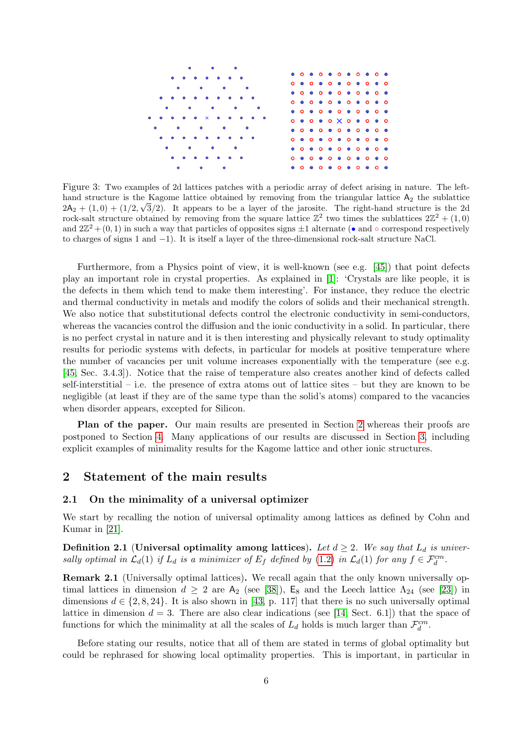

<span id="page-5-2"></span>Figure 3: Two examples of 2d lattices patches with a periodic array of defect arising in nature. The lefthand structure is the Kagome lattice obtained by removing from the triangular lattice  $A_2$  the sublattice  $2A_2 + (1,0) + (1/2, \sqrt{3}/2)$ . It appears to be a layer of the jarosite. The right-hand structure is the 2d rock-salt structure obtained by removing from the square lattice  $\mathbb{Z}^2$  two times the sublattices  $2\mathbb{Z}^2 + (1,0)$ and  $2\mathbb{Z}^2 + (0,1)$  in such a way that particles of opposites signs  $\pm 1$  alternate (• and • correspond respectively to charges of signs 1 and −1). It is itself a layer of the three-dimensional rock-salt structure NaCl.

Furthermore, from a Physics point of view, it is well-known (see e.g. [\[45\]](#page-20-11)) that point defects play an important role in crystal properties. As explained in [\[1\]](#page-19-21): 'Crystals are like people, it is the defects in them which tend to make them interesting'. For instance, they reduce the electric and thermal conductivity in metals and modify the colors of solids and their mechanical strength. We also notice that substitutional defects control the electronic conductivity in semi-conductors, whereas the vacancies control the diffusion and the ionic conductivity in a solid. In particular, there is no perfect crystal in nature and it is then interesting and physically relevant to study optimality results for periodic systems with defects, in particular for models at positive temperature where the number of vacancies per unit volume increases exponentially with the temperature (see e.g. [\[45,](#page-20-11) Sec. 3.4.3]). Notice that the raise of temperature also creates another kind of defects called self-interstitial – i.e. the presence of extra atoms out of lattice sites – but they are known to be negligible (at least if they are of the same type than the solid's atoms) compared to the vacancies when disorder appears, excepted for Silicon.

Plan of the paper. Our main results are presented in Section [2](#page-5-0) whereas their proofs are postponed to Section [4.](#page-13-0) Many applications of our results are discussed in Section [3,](#page-11-1) including explicit examples of minimality results for the Kagome lattice and other ionic structures.

## <span id="page-5-0"></span>2 Statement of the main results

#### <span id="page-5-1"></span>2.1 On the minimality of a universal optimizer

We start by recalling the notion of universal optimality among lattices as defined by Cohn and Kumar in [\[21\]](#page-19-12).

Definition 2.1 (Universal optimality among lattices). Let  $d \geq 2$ . We say that  $L_d$  is universally optimal in  $\mathcal{L}_d(1)$  if  $L_d$  is a minimizer of  $E_f$  defined by  $(1.2)$  in  $\mathcal{L}_d(1)$  for any  $f \in \mathcal{F}_d^{cm}$ .

Remark 2.1 (Universally optimal lattices). We recall again that the only known universally optimal lattices in dimension  $d \geq 2$  are  $A_2$  (see [\[38\]](#page-20-8)),  $E_8$  and the Leech lattice  $\Lambda_{24}$  (see [\[23\]](#page-19-3)) in dimensions  $d \in \{2, 8, 24\}$ . It is also shown in [\[43,](#page-20-12) p. 117] that there is no such universally optimal lattice in dimension  $d = 3$ . There are also clear indications (see [\[14,](#page-19-8) Sect. 6.1]) that the space of functions for which the minimality at all the scales of  $L_d$  holds is much larger than  $\mathcal{F}_d^{cm}$ .

Before stating our results, notice that all of them are stated in terms of global optimality but could be rephrased for showing local optimality properties. This is important, in particular in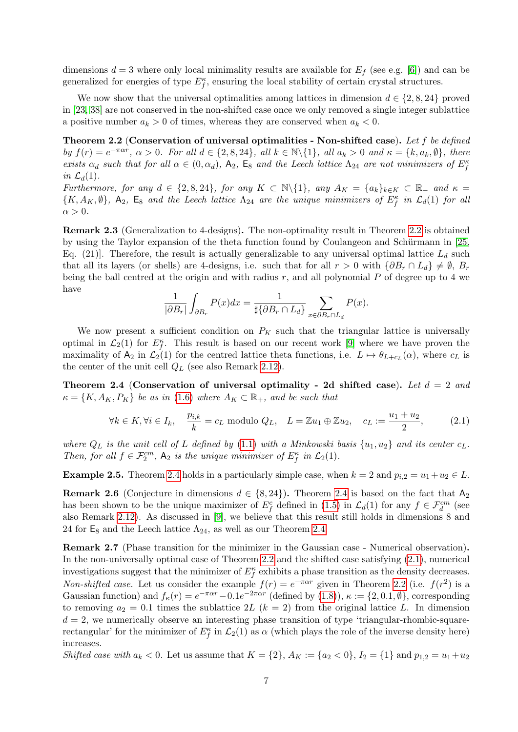dimensions  $d = 3$  where only local minimality results are available for  $E_f$  (see e.g. [\[6\]](#page-19-22)) and can be generalized for energies of type  $E_f^{\kappa}$ , ensuring the local stability of certain crystal structures.

We now show that the universal optimalities among lattices in dimension  $d \in \{2, 8, 24\}$  proved in [\[23,](#page-19-3) [38\]](#page-20-8) are not conserved in the non-shifted case once we only removed a single integer sublattice a positive number  $a_k > 0$  of times, whereas they are conserved when  $a_k < 0$ .

<span id="page-6-1"></span>Theorem 2.2 (Conservation of universal optimalities - Non-shifted case). Let f be defined by  $f(r) = e^{-\pi\alpha r}$ ,  $\alpha > 0$ . For all  $d \in \{2, 8, 24\}$ , all  $k \in \mathbb{N}\setminus\{1\}$ , all  $a_k > 0$  and  $\kappa = \{k, a_k, \emptyset\}$ , there exists  $\alpha_d$  such that for all  $\alpha \in (0, \alpha_d)$ ,  $A_2$ ,  $E_8$  and the Leech lattice  $\Lambda_{24}$  are not minimizers of  $E_f^{\kappa}$ in  $\mathcal{L}_d(1)$ .

Furthermore, for any  $d \in \{2, 8, 24\}$ , for any  $K \subset \mathbb{N}\setminus\{1\}$ , any  $A_K = \{a_k\}_{k \in K} \subset \mathbb{R}^-$  and  $\kappa =$  $\{K, A_K, \emptyset\}$ ,  $A_2$ ,  $E_8$  and the Leech lattice  $\Lambda_{24}$  are the unique minimizers of  $E_f^{\kappa}$  in  $\mathcal{L}_d(1)$  for all  $\alpha > 0$ .

Remark 2.3 (Generalization to 4-designs). The non-optimality result in Theorem [2.2](#page-6-1) is obtained by using the Taylor expansion of the theta function found by Coulangeon and Schürmann in [\[25,](#page-19-23) Eq. (21)]. Therefore, the result is actually generalizable to any universal optimal lattice  $L_d$  such that all its layers (or shells) are 4-designs, i.e. such that for all  $r > 0$  with  $\{\partial B_r \cap L_d\} \neq \emptyset$ ,  $B_r$ being the ball centred at the origin and with radius  $r$ , and all polynomial  $P$  of degree up to 4 we have

$$
\frac{1}{|\partial B_r|} \int_{\partial B_r} P(x) dx = \frac{1}{\sharp \{ \partial B_r \cap L_d \}} \sum_{x \in \partial B_r \cap L_d} P(x).
$$

We now present a sufficient condition on  $P_K$  such that the triangular lattice is universally optimal in  $\mathcal{L}_2(1)$  for  $E_f^{\kappa}$ . This result is based on our recent work [\[9\]](#page-19-6) where we have proven the maximality of A<sub>2</sub> in  $\mathcal{L}_2(1)$  for the centred lattice theta functions, i.e.  $L \mapsto \theta_{L+c_L}(\alpha)$ , where  $c_L$  is the center of the unit cell  $Q_L$  (see also Remark [2.12\)](#page-8-1).

<span id="page-6-0"></span>Theorem 2.4 (Conservation of universal optimality - 2d shifted case). Let  $d = 2$  and  $\kappa = \{K, A_K, P_K\}$  be as in [\(1.6\)](#page-3-1) where  $A_K \subset \mathbb{R}_+$ , and be such that

<span id="page-6-2"></span>
$$
\forall k \in K, \forall i \in I_k, \quad \frac{p_{i,k}}{k} = c_L \text{ modulo } Q_L, \quad L = \mathbb{Z} u_1 \oplus \mathbb{Z} u_2, \quad c_L := \frac{u_1 + u_2}{2}, \tag{2.1}
$$

where  $Q_L$  is the unit cell of L defined by [\(1.1\)](#page-2-1) with a Minkowski basis  $\{u_1, u_2\}$  and its center  $c_L$ . Then, for all  $f \in \mathcal{F}_2^{cm}$ ,  $A_2$  is the unique minimizer of  $E_f^{\kappa}$  in  $\mathcal{L}_2(1)$ .

**Example 2.5.** Theorem [2.4](#page-6-0) holds in a particularly simple case, when  $k = 2$  and  $p_{i,2} = u_1 + u_2 \in L$ .

<span id="page-6-3"></span>**Remark 2.6** (Conjecture in dimensions  $d \in \{8, 24\}$ ). Theorem [2.4](#page-6-0) is based on the fact that  $A_2$ has been shown to be the unique maximizer of  $E_f^c$  defined in [\(1.5\)](#page-3-2) in  $\mathcal{L}_d(1)$  for any  $f \in \mathcal{F}_d^{cm}$  (see also Remark [2.12\)](#page-8-1). As discussed in [\[9\]](#page-19-6), we believe that this result still holds in dimensions 8 and 24 for  $\mathsf{E}_8$  and the Leech lattice  $\Lambda_{24}$ , as well as our Theorem [2.4.](#page-6-0)

Remark 2.7 (Phase transition for the minimizer in the Gaussian case - Numerical observation). In the non-universally optimal case of Theorem [2.2](#page-6-1) and the shifted case satisfying [\(2.1\)](#page-6-2), numerical investigations suggest that the minimizer of  $E_f^{\kappa}$  exhibits a phase transition as the density decreases. Non-shifted case. Let us consider the example  $f(r) = e^{-\pi\alpha r}$  given in Theorem [2.2](#page-6-1) (i.e.  $f(r^2)$  is a Gaussian function) and  $f_{\kappa}(r) = e^{-\pi\alpha r} - 0.1e^{-2\pi\alpha r}$  (defined by [\(1.8\)](#page-4-1)),  $\kappa := \{2, 0.1, \emptyset\}$ , corresponding to removing  $a_2 = 0.1$  times the sublattice  $2L (k = 2)$  from the original lattice L. In dimension  $d = 2$ , we numerically observe an interesting phase transition of type 'triangular-rhombic-squarerectangular' for the minimizer of  $E_f^{\kappa}$  in  $\mathcal{L}_2(1)$  as  $\alpha$  (which plays the role of the inverse density here) increases.

Shifted case with  $a_k < 0$ . Let us assume that  $K = \{2\}$ ,  $A_K := \{a_2 < 0\}$ ,  $I_2 = \{1\}$  and  $p_{1,2} = u_1 + u_2$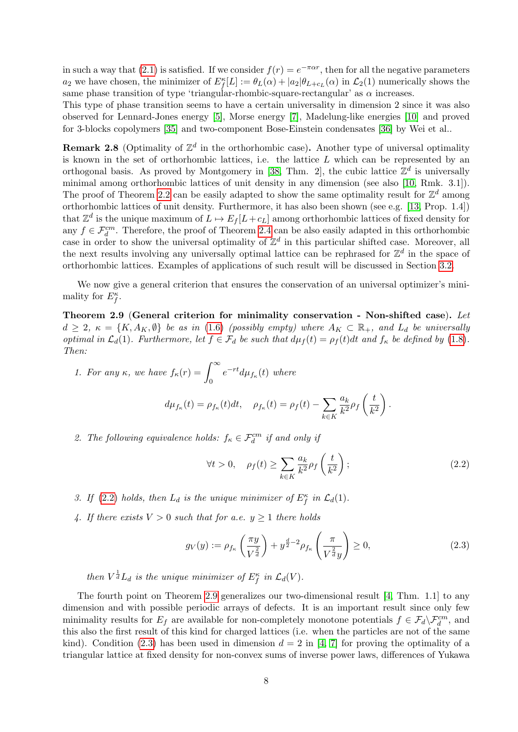in such a way that [\(2.1\)](#page-6-2) is satisfied. If we consider  $f(r) = e^{-\pi \alpha r}$ , then for all the negative parameters  $a_2$  we have chosen, the minimizer of  $E_f^{\kappa}[L] := \theta_L(\alpha) + |a_2|\theta_{L+c_L}(\alpha)$  in  $\mathcal{L}_2(1)$  numerically shows the same phase transition of type 'triangular-rhombic-square-rectangular' as  $\alpha$  increases.

This type of phase transition seems to have a certain universality in dimension 2 since it was also observed for Lennard-Jones energy [\[5\]](#page-19-24), Morse energy [\[7\]](#page-19-17), Madelung-like energies [\[10\]](#page-19-4) and proved for 3-blocks copolymers [\[35\]](#page-20-1) and two-component Bose-Einstein condensates [\[36\]](#page-20-2) by Wei et al..

**Remark 2.8** (Optimality of  $\mathbb{Z}^d$  in the orthorhombic case). Another type of universal optimality is known in the set of orthorhombic lattices, i.e. the lattice  $L$  which can be represented by an orthogonal basis. As proved by Montgomery in [\[38,](#page-20-8) Thm. 2], the cubic lattice  $\mathbb{Z}^d$  is universally minimal among orthorhombic lattices of unit density in any dimension (see also [\[10,](#page-19-4) Rmk. 3.1]). The proof of Theorem [2.2](#page-6-1) can be easily adapted to show the same optimality result for  $\mathbb{Z}^d$  among orthorhombic lattices of unit density. Furthermore, it has also been shown (see e.g. [\[13,](#page-19-25) Prop. 1.4]) that  $\mathbb{Z}^d$  is the unique maximum of  $L \mapsto E_f[L+c_L]$  among orthorhombic lattices of fixed density for any  $f \in \mathcal{F}_d^{cm}$ . Therefore, the proof of Theorem [2.4](#page-6-0) can be also easily adapted in this orthorhombic case in order to show the universal optimality of  $\mathbb{Z}^d$  in this particular shifted case. Moreover, all the next results involving any universally optimal lattice can be rephrased for  $\mathbb{Z}^d$  in the space of orthorhombic lattices. Examples of applications of such result will be discussed in Section [3.2.](#page-12-0)

We now give a general criterion that ensures the conservation of an universal optimizer's minimality for  $E_f^{\kappa}$ .

<span id="page-7-0"></span>Theorem 2.9 (General criterion for minimality conservation - Non-shifted case). Let  $d \geq 2$ ,  $\kappa = \{K, A_K, \emptyset\}$  be as in [\(1.6\)](#page-3-1) (possibly empty) where  $A_K \subset \mathbb{R}_+$ , and  $L_d$  be universally optimal in  $\mathcal{L}_d(1)$ . Furthermore, let  $f \in \mathcal{F}_d$  be such that  $d\mu_f(t) = \rho_f(t)dt$  and  $f_k$  be defined by [\(1.8\)](#page-4-1). Then:

1. For any 
$$
\kappa
$$
, we have  $f_{\kappa}(r) = \int_0^{\infty} e^{-rt} d\mu_{f_{\kappa}}(t)$  where  

$$
d\mu_{f_{\kappa}}(t) = \rho_{f_{\kappa}}(t) dt, \quad \rho_{f_{\kappa}}(t) = \rho_f(t) - \sum_{k \in K} \frac{a_k}{k^2} \rho_f\left(\frac{t}{k^2}\right)
$$

2. The following equivalence holds:  $f_{\kappa} \in \mathcal{F}_d^{cm}$  if and only if

<span id="page-7-1"></span>
$$
\forall t > 0, \quad \rho_f(t) \ge \sum_{k \in K} \frac{a_k}{k^2} \rho_f\left(\frac{t}{k^2}\right); \tag{2.2}
$$

.

- 3. If [\(2.2\)](#page-7-1) holds, then  $L_d$  is the unique minimizer of  $E_f^{\kappa}$  in  $\mathcal{L}_d(1)$ .
- 4. If there exists  $V > 0$  such that for a.e.  $y \ge 1$  there holds

<span id="page-7-2"></span>
$$
g_V(y) := \rho_{f_\kappa}\left(\frac{\pi y}{V^{\frac{2}{d}}}\right) + y^{\frac{d}{2}-2}\rho_{f_\kappa}\left(\frac{\pi}{V^{\frac{2}{d}}y}\right) \ge 0, \tag{2.3}
$$

then  $V^{\frac{1}{d}}L_d$  is the unique minimizer of  $E_f^{\kappa}$  in  $\mathcal{L}_d(V)$ .

The fourth point on Theorem [2.9](#page-7-0) generalizes our two-dimensional result [\[4,](#page-19-16) Thm. 1.1] to any dimension and with possible periodic arrays of defects. It is an important result since only few minimality results for  $E_f$  are available for non-completely monotone potentials  $f \in \mathcal{F}_d \backslash \mathcal{F}_d^{cm}$ , and this also the first result of this kind for charged lattices (i.e. when the particles are not of the same kind). Condition [\(2.3\)](#page-7-2) has been used in dimension  $d = 2$  in [\[4,](#page-19-16) [7\]](#page-19-17) for proving the optimality of a triangular lattice at fixed density for non-convex sums of inverse power laws, differences of Yukawa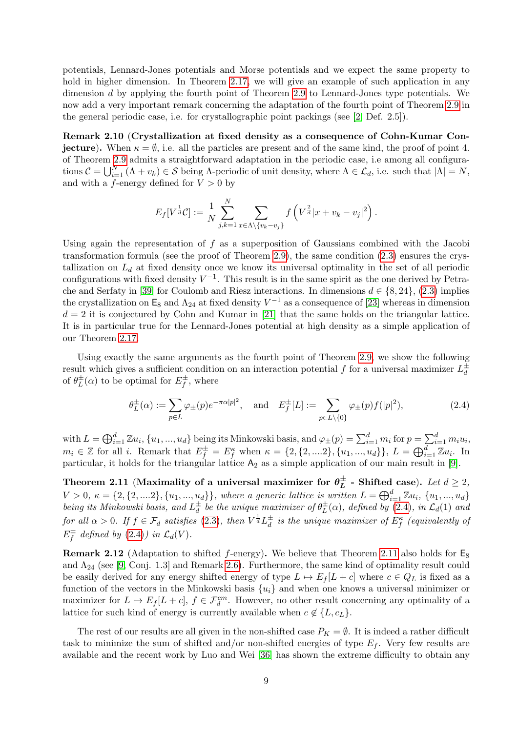potentials, Lennard-Jones potentials and Morse potentials and we expect the same property to hold in higher dimension. In Theorem [2.17,](#page-10-0) we will give an example of such application in any dimension d by applying the fourth point of Theorem [2.9](#page-7-0) to Lennard-Jones type potentials. We now add a very important remark concerning the adaptation of the fourth point of Theorem [2.9](#page-7-0) in the general periodic case, i.e. for crystallographic point packings (see [\[2,](#page-19-26) Def. 2.5]).

<span id="page-8-3"></span>Remark 2.10 (Crystallization at fixed density as a consequence of Cohn-Kumar Con**jecture**). When  $\kappa = \emptyset$ , i.e. all the particles are present and of the same kind, the proof of point 4. of Theorem [2.9](#page-7-0) admits a straightforward adaptation in the periodic case, i.e among all configurations  $\mathcal{C} = \bigcup_{i=1}^N (\Lambda + v_k) \in \mathcal{S}$  being  $\Lambda$ -periodic of unit density, where  $\Lambda \in \mathcal{L}_d$ , i.e. such that  $|\Lambda| = N$ , and with a *f*-energy defined for  $V > 0$  by

$$
E_f[V^{\frac{1}{d}}\mathcal{C}] := \frac{1}{N} \sum_{j,k=1}^N \sum_{x \in \Lambda \setminus \{v_k - v_j\}} f\left(V^{\frac{2}{d}}|x + v_k - v_j|^2\right).
$$

Using again the representation of  $f$  as a superposition of Gaussians combined with the Jacobi transformation formula (see the proof of Theorem [2.9\)](#page-7-0), the same condition [\(2.3\)](#page-7-2) ensures the crystallization on  $L_d$  at fixed density once we know its universal optimality in the set of all periodic configurations with fixed density  $V^{-1}$ . This result is in the same spirit as the one derived by Petra-che and Serfaty in [\[39\]](#page-20-10) for Coulomb and Riesz interactions. In dimensions  $d \in \{8, 24\}$ , [\(2.3\)](#page-7-2) implies the crystallization on  $\mathsf{E}_8$  and  $\Lambda_{24}$  at fixed density  $V^{-1}$  as a consequence of [\[23\]](#page-19-3) whereas in dimension  $d = 2$  it is conjectured by Cohn and Kumar in [\[21\]](#page-19-12) that the same holds on the triangular lattice. It is in particular true for the Lennard-Jones potential at high density as a simple application of our Theorem [2.17.](#page-10-0)

Using exactly the same arguments as the fourth point of Theorem [2.9,](#page-7-0) we show the following result which gives a sufficient condition on an interaction potential f for a universal maximizer  $L_d^{\pm}$ d of  $\theta_L^{\pm}$  $_L^{\pm}(\alpha)$  to be optimal for  $E_f^{\pm}$  $f^{\pm}_f$ , where

<span id="page-8-2"></span>
$$
\theta_L^{\pm}(\alpha) := \sum_{p \in L} \varphi_{\pm}(p) e^{-\pi \alpha |p|^2}, \quad \text{and} \quad E_f^{\pm}[L] := \sum_{p \in L \setminus \{0\}} \varphi_{\pm}(p) f(|p|^2), \tag{2.4}
$$

with  $L = \bigoplus_{i=1}^d \mathbb{Z} u_i$ ,  $\{u_1, ..., u_d\}$  being its Minkowski basis, and  $\varphi_{\pm}(p) = \sum_{i=1}^d m_i$  for  $p = \sum_{i=1}^d m_i u_i$ ,  $m_i \in \mathbb{Z}$  for all i. Remark that  $E_f^{\pm} = E_f^{\kappa}$  when  $\kappa = \{2, \{2, ..., 2\}, \{u_1, ..., u_d\}\}, L = \bigoplus_{i=1}^d \mathbb{Z} u_i$ . In particular, it holds for the triangular lattice  $A_2$  as a simple application of our main result in [\[9\]](#page-19-6).

<span id="page-8-0"></span>Theorem 2.11 (Maximality of a universal maximizer for  $\theta_L^{\pm}$  $\mathcal{L}^{\pm}$  - Shifted case). Let  $d \geq 2$ ,  $V > 0, \ \kappa = \{2, \{2, ....2\}, \{u_1, ..., u_d\}\},\ \text{where a generic lattice is written } L = \bigoplus_{i=1}^d \mathbb{Z} u_i, \ \{u_1, ..., u_d\}$ being its Minkowski basis, and  $L_d^{\pm}$  $\frac{\pm}{d}$  be the unique maximizer of  $\theta_L^{\pm}$  $L^{\pm}(\alpha)$ , defined by [\(2.4\)](#page-8-2), in  $\mathcal{L}_d(1)$  and for all  $\alpha > 0$ . If  $f \in \mathcal{F}_d$  satisfies [\(2.3\)](#page-7-2), then  $V^{\frac{1}{d}} L_d^{\pm}$  $\frac{1}{d}$  is the unique maximizer of  $E_{f}^{\kappa}$  (equivalently of  $E_f^{\pm}$  $f_f^{\pm}$  defined by [\(2.4\)](#page-8-2)) in  $\mathcal{L}_d(V)$ .

<span id="page-8-1"></span>**Remark 2.12** (Adaptation to shifted f-energy). We believe that Theorem [2.11](#page-8-0) also holds for  $E_8$ and  $\Lambda_{24}$  (see [\[9,](#page-19-6) Conj. 1.3] and Remark [2.6\)](#page-6-3). Furthermore, the same kind of optimality result could be easily derived for any energy shifted energy of type  $L \mapsto E_f[L + c]$  where  $c \in Q_L$  is fixed as a function of the vectors in the Minkowski basis  $\{u_i\}$  and when one knows a universal minimizer or maximizer for  $L \mapsto E_f[L + c], f \in \mathcal{F}_d^{cm}$ . However, no other result concerning any optimality of a lattice for such kind of energy is currently available when  $c \notin \{L, c_L\}.$ 

The rest of our results are all given in the non-shifted case  $P_K = \emptyset$ . It is indeed a rather difficult task to minimize the sum of shifted and/or non-shifted energies of type  $E_f$ . Very few results are available and the recent work by Luo and Wei [\[36\]](#page-20-2) has shown the extreme difficulty to obtain any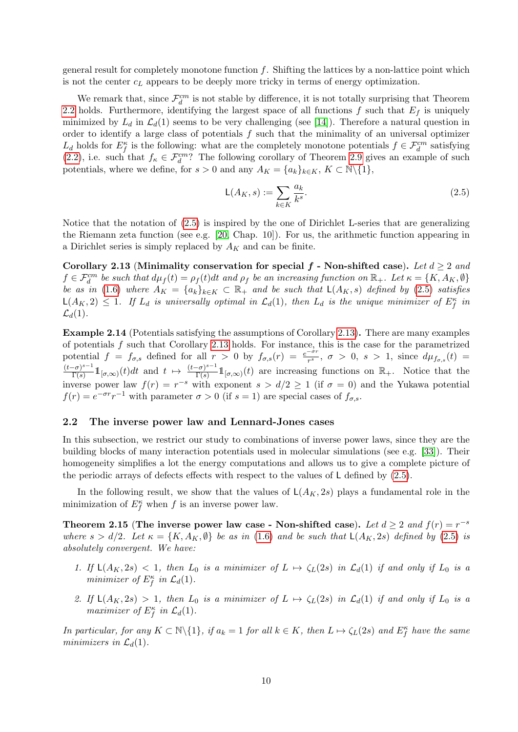general result for completely monotone function  $f$ . Shifting the lattices by a non-lattice point which is not the center  $c<sub>L</sub>$  appears to be deeply more tricky in terms of energy optimization.

We remark that, since  $\mathcal{F}_{d}^{cm}$  is not stable by difference, it is not totally surprising that Theorem [2.2](#page-6-1) holds. Furthermore, identifying the largest space of all functions  $f$  such that  $E_f$  is uniquely minimized by  $L_d$  in  $\mathcal{L}_d(1)$  seems to be very challenging (see [\[14\]](#page-19-8)). Therefore a natural question in order to identify a large class of potentials  $f$  such that the minimality of an universal optimizer  $L_d$  holds for  $E_f^{\kappa}$  is the following: what are the completely monotone potentials  $f \in \mathcal{F}_d^{cm}$  satisfying [\(2.2\)](#page-7-1), i.e. such that  $f_k \in \mathcal{F}_d^{cm}$ ? The following corollary of Theorem [2.9](#page-7-0) gives an example of such potentials, where we define, for  $s > 0$  and any  $A_K = \{a_k\}_{k \in K}$ ,  $K \subset \mathbb{N}\backslash\{1\}$ ,

<span id="page-9-1"></span>
$$
\mathsf{L}(A_K, s) := \sum_{k \in K} \frac{a_k}{k^s}.\tag{2.5}
$$

Notice that the notation of [\(2.5\)](#page-9-1) is inspired by the one of Dirichlet L-series that are generalizing the Riemann zeta function (see e.g. [\[20,](#page-19-27) Chap. 10]). For us, the arithmetic function appearing in a Dirichlet series is simply replaced by  $A_K$  and can be finite.

<span id="page-9-2"></span>Corollary 2.13 (Minimality conservation for special f - Non-shifted case). Let  $d \geq 2$  and  $f \in \mathcal{F}_d^{cm}$  be such that  $d\mu_f(t) = \rho_f(t)dt$  and  $\rho_f$  be an increasing function on  $\mathbb{R}_+$ . Let  $\kappa = \{K, A_K, \emptyset\}$ be as in [\(1.6\)](#page-3-1) where  $A_K = \{a_k\}_{k \in K} \subset \mathbb{R}_+$  and be such that  $\mathsf{L}(A_K, s)$  defined by [\(2.5\)](#page-9-1) satisfies  $\mathsf{L}(A_K, 2) \leq 1$ . If  $L_d$  is universally optimal in  $\mathcal{L}_d(1)$ , then  $L_d$  is the unique minimizer of  $E_f^{\kappa}$  in  $\mathcal{L}_d(1)$ .

<span id="page-9-3"></span>Example 2.14 (Potentials satisfying the assumptions of Corollary [2.13\)](#page-9-2). There are many examples of potentials  $f$  such that Corollary [2.13](#page-9-2) holds. For instance, this is the case for the parametrized potential  $f = f_{\sigma,s}$  defined for all  $r > 0$  by  $f_{\sigma,s}(r) = \frac{e^{-\sigma r}}{r^s}$ ,  $\sigma > 0$ ,  $s > 1$ , since  $d\mu_{f_{\sigma,s}}(t)$  $(t-\sigma)^{s-1}$  $\frac{(-\sigma)^{s-1}}{\Gamma(s)}1\!\!1_{[\sigma,\infty)}(t)dt$  and  $t \mapsto \frac{(t-\sigma)^{s-1}}{\Gamma(s)}$  $\frac{(-\sigma)^{s-1}}{\Gamma(s)}1_{[\sigma,\infty)}(t)$  are increasing functions on  $\mathbb{R}_+$ . Notice that the inverse power law  $f(r) = r^{-s}$  with exponent  $s > d/2 \ge 1$  (if  $\sigma = 0$ ) and the Yukawa potential  $f(r) = e^{-\sigma r} r^{-1}$  with parameter  $\sigma > 0$  (if  $s = 1$ ) are special cases of  $f_{\sigma, s}$ .

#### <span id="page-9-0"></span>2.2 The inverse power law and Lennard-Jones cases

In this subsection, we restrict our study to combinations of inverse power laws, since they are the building blocks of many interaction potentials used in molecular simulations (see e.g. [\[33\]](#page-20-13)). Their homogeneity simplifies a lot the energy computations and allows us to give a complete picture of the periodic arrays of defects effects with respect to the values of  $\mathsf{L}$  defined by [\(2.5\)](#page-9-1).

In the following result, we show that the values of  $\mathsf{L}(A_K, 2s)$  plays a fundamental role in the minimization of  $E_f^{\kappa}$  when f is an inverse power law.

<span id="page-9-4"></span>Theorem 2.15 (The inverse power law case - Non-shifted case). Let  $d \geq 2$  and  $f(r) = r^{-s}$ where  $s > d/2$ . Let  $\kappa = \{K, A_K, \emptyset\}$  be as in [\(1.6\)](#page-3-1) and be such that  $\mathsf{L}(A_K, 2s)$  defined by [\(2.5\)](#page-9-1) is absolutely convergent. We have:

- 1. If  $L(A_K, 2s) < 1$ , then  $L_0$  is a minimizer of  $L \mapsto \zeta_L(2s)$  in  $\mathcal{L}_d(1)$  if and only if  $L_0$  is a minimizer of  $E_f^{\kappa}$  in  $\mathcal{L}_d(1)$ .
- 2. If  $L(A_K, 2s) > 1$ , then  $L_0$  is a minimizer of  $L \mapsto \zeta_L(2s)$  in  $\mathcal{L}_d(1)$  if and only if  $L_0$  is a maximizer of  $E_f^{\kappa}$  in  $\mathcal{L}_d(1)$ .

In particular, for any  $K \subset \mathbb{N} \setminus \{1\}$ , if  $a_k = 1$  for all  $k \in K$ , then  $L \mapsto \zeta_L(2s)$  and  $E_f^{\kappa}$  have the same minimizers in  $\mathcal{L}_d(1)$ .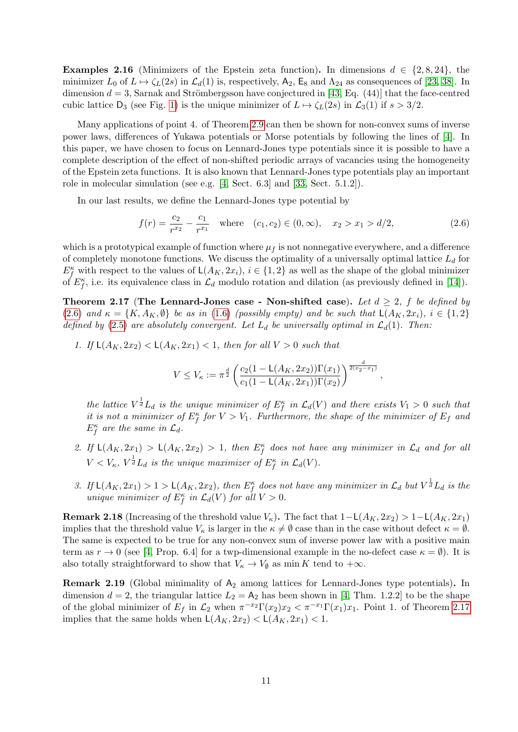**Examples 2.16** (Minimizers of the Epstein zeta function). In dimensions  $d \in \{2, 8, 24\}$ , the minimizer  $L_0$  of  $L \mapsto \zeta_L(2s)$  in  $\mathcal{L}_d(1)$  is, respectively,  $A_2$ ,  $E_8$  and  $\Lambda_{24}$  as consequences of [\[23,](#page-19-3) [38\]](#page-20-8). In dimension  $d = 3$ , Sarnak and Strömbergsson have conjectured in [\[43,](#page-20-12) Eq. (44)] that the face-centred cubic lattice  $D_3$  (see Fig. [1\)](#page-1-2) is the unique minimizer of  $L \mapsto \zeta_L(2s)$  in  $\mathcal{L}_3(1)$  if  $s > 3/2$ .

Many applications of point 4. of Theorem [2.9](#page-7-0) can then be shown for non-convex sums of inverse power laws, differences of Yukawa potentials or Morse potentials by following the lines of [\[4\]](#page-19-16). In this paper, we have chosen to focus on Lennard-Jones type potentials since it is possible to have a complete description of the effect of non-shifted periodic arrays of vacancies using the homogeneity of the Epstein zeta functions. It is also known that Lennard-Jones type potentials play an important role in molecular simulation (see e.g. [\[4,](#page-19-16) Sect. 6.3] and [\[33,](#page-20-13) Sect. 5.1.2]).

In our last results, we define the Lennard-Jones type potential by

<span id="page-10-1"></span>
$$
f(r) = \frac{c_2}{r^{x_2}} - \frac{c_1}{r^{x_1}} \quad \text{where} \quad (c_1, c_2) \in (0, \infty), \quad x_2 > x_1 > d/2,
$$
 (2.6)

which is a prototypical example of function where  $\mu_f$  is not nonnegative everywhere, and a difference of completely monotone functions. We discuss the optimality of a universally optimal lattice  $L_d$  for  $E_f^{\kappa}$  with respect to the values of  $\mathsf{L}(A_K, 2x_i), i \in \{1,2\}$  as well as the shape of the global minimizer of  $E_f^{\kappa}$ , i.e. its equivalence class in  $\mathcal{L}_d$  modulo rotation and dilation (as previously defined in [\[14\]](#page-19-8)).

<span id="page-10-0"></span>**Theorem 2.17 (The Lennard-Jones case - Non-shifted case).** Let  $d \geq 2$ , f be defined by [\(2.6\)](#page-10-1) and  $\kappa = \{K, A_K, \emptyset\}$  be as in [\(1.6\)](#page-3-1) (possibly empty) and be such that  $\mathsf{L}(A_K, 2x_i), i \in \{1,2\}$ defined by [\(2.5\)](#page-9-1) are absolutely convergent. Let  $L_d$  be universally optimal in  $\mathcal{L}_d(1)$ . Then:

1. If  $L(A_K, 2x_2) < L(A_K, 2x_1) < 1$ , then for all  $V > 0$  such that

$$
V \leq V_{\kappa} := \pi^{\frac{d}{2}} \left( \frac{c_2 (1 - \mathsf{L}(A_K, 2x_2)) \Gamma(x_1)}{c_1 (1 - \mathsf{L}(A_K, 2x_1)) \Gamma(x_2)} \right)^{\frac{d}{2(x_2 - x_1)}},
$$

the lattice  $V^{\frac{1}{d}}L_d$  is the unique minimizer of  $E_f^{\kappa}$  in  $\mathcal{L}_d(V)$  and there exists  $V_1 > 0$  such that it is not a minimizer of  $E_f^{\kappa}$  for  $V > V_1$ . Furthermore, the shape of the minimizer of  $E_f$  and  $E_f^{\kappa}$  are the same in  $\mathcal{L}_d$ .

- 2. If  $\mathsf{L}(A_K, 2x_1) > \mathsf{L}(A_K, 2x_2) > 1$ , then  $E_f^{\kappa}$  does not have any minimizer in  $\mathcal{L}_d$  and for all  $V < V_{\kappa}$ ,  $V^{\frac{1}{d}}L_d$  is the unique maximizer of  $E_f^{\kappa}$  in  $\mathcal{L}_d(V)$ .
- 3. If  $\mathsf{L}(A_K, 2x_1) > 1 > \mathsf{L}(A_K, 2x_2)$ , then  $E_f^{\kappa}$  does not have any minimizer in  $\mathcal{L}_d$  but  $V^{\frac{1}{d}}L_d$  is the unique minimizer of  $E_f^{\kappa}$  in  $\mathcal{L}_d(V)$  for all  $V > 0$ .

**Remark 2.18** (Increasing of the threshold value  $V_{\kappa}$ ). The fact that  $1-\mathsf{L}(A_K, 2x_2) > 1-\mathsf{L}(A_K, 2x_1)$ implies that the threshold value  $V_{\kappa}$  is larger in the  $\kappa \neq \emptyset$  case than in the case without defect  $\kappa = \emptyset$ . The same is expected to be true for any non-convex sum of inverse power law with a positive main term as  $r \to 0$  (see [\[4,](#page-19-16) Prop. 6.4] for a twp-dimensional example in the no-defect case  $\kappa = \emptyset$ ). It is also totally straightforward to show that  $V_{\kappa} \to V_{\emptyset}$  as min K tend to  $+\infty$ .

<span id="page-10-2"></span>**Remark 2.19** (Global minimality of  $A_2$  among lattices for Lennard-Jones type potentials). In dimension  $d = 2$ , the triangular lattice  $L_2 = A_2$  has been shown in [\[4,](#page-19-16) Thm. 1.2.2] to be the shape of the global minimizer of  $E_f$  in  $\mathcal{L}_2$  when  $\pi^{-x_2}\Gamma(x_2)x_2 < \pi^{-x_1}\Gamma(x_1)x_1$ . Point 1. of Theorem [2.17](#page-10-0) implies that the same holds when  $\mathsf{L}(A_K, 2x_2) < \mathsf{L}(A_K, 2x_1) < 1$ .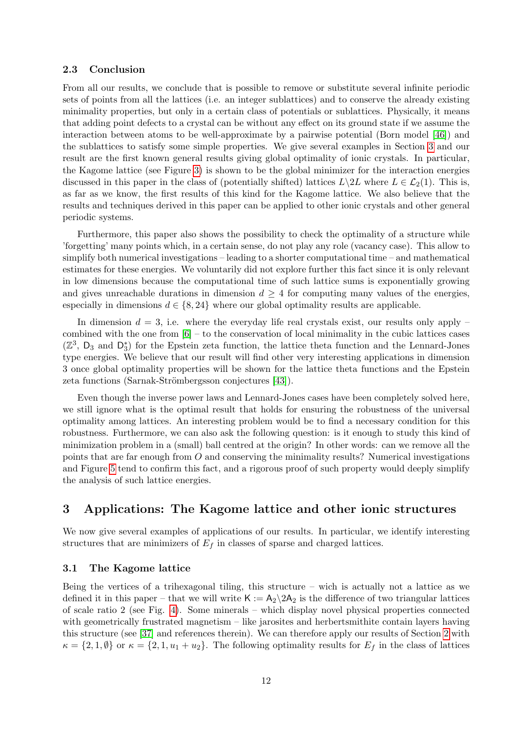### <span id="page-11-0"></span>2.3 Conclusion

From all our results, we conclude that is possible to remove or substitute several infinite periodic sets of points from all the lattices (i.e. an integer sublattices) and to conserve the already existing minimality properties, but only in a certain class of potentials or sublattices. Physically, it means that adding point defects to a crystal can be without any effect on its ground state if we assume the interaction between atoms to be well-approximate by a pairwise potential (Born model [\[46\]](#page-20-5)) and the sublattices to satisfy some simple properties. We give several examples in Section [3](#page-11-1) and our result are the first known general results giving global optimality of ionic crystals. In particular, the Kagome lattice (see Figure [3\)](#page-5-2) is shown to be the global minimizer for the interaction energies discussed in this paper in the class of (potentially shifted) lattices  $L\setminus 2L$  where  $L \in \mathcal{L}_2(1)$ . This is, as far as we know, the first results of this kind for the Kagome lattice. We also believe that the results and techniques derived in this paper can be applied to other ionic crystals and other general periodic systems.

Furthermore, this paper also shows the possibility to check the optimality of a structure while 'forgetting' many points which, in a certain sense, do not play any role (vacancy case). This allow to simplify both numerical investigations – leading to a shorter computational time – and mathematical estimates for these energies. We voluntarily did not explore further this fact since it is only relevant in low dimensions because the computational time of such lattice sums is exponentially growing and gives unreachable durations in dimension  $d \geq 4$  for computing many values of the energies, especially in dimensions  $d \in \{8, 24\}$  where our global optimality results are applicable.

In dimension  $d = 3$ , i.e. where the everyday life real crystals exist, our results only apply – combined with the one from [\[6\]](#page-19-22) – to the conservation of local minimality in the cubic lattices cases  $(\mathbb{Z}^3, D_3 \text{ and } D_3^*)$  for the Epstein zeta function, the lattice theta function and the Lennard-Jones type energies. We believe that our result will find other very interesting applications in dimension 3 once global optimality properties will be shown for the lattice theta functions and the Epstein zeta functions (Sarnak-Strömbergsson conjectures [\[43\]](#page-20-12)).

Even though the inverse power laws and Lennard-Jones cases have been completely solved here, we still ignore what is the optimal result that holds for ensuring the robustness of the universal optimality among lattices. An interesting problem would be to find a necessary condition for this robustness. Furthermore, we can also ask the following question: is it enough to study this kind of minimization problem in a (small) ball centred at the origin? In other words: can we remove all the points that are far enough from  $O$  and conserving the minimality results? Numerical investigations and Figure [5](#page-13-1) tend to confirm this fact, and a rigorous proof of such property would deeply simplify the analysis of such lattice energies.

## <span id="page-11-1"></span>3 Applications: The Kagome lattice and other ionic structures

We now give several examples of applications of our results. In particular, we identify interesting structures that are minimizers of  $E_f$  in classes of sparse and charged lattices.

## <span id="page-11-2"></span>3.1 The Kagome lattice

Being the vertices of a trihexagonal tiling, this structure – wich is actually not a lattice as we defined it in this paper – that we will write  $K := A_2 \setminus 2A_2$  is the difference of two triangular lattices of scale ratio 2 (see Fig. [4\)](#page-12-1). Some minerals – which display novel physical properties connected with geometrically frustrated magnetism – like jarosites and herbertsmithite contain layers having this structure (see [\[37\]](#page-20-14) and references therein). We can therefore apply our results of Section [2](#page-5-0) with  $\kappa = \{2, 1, \emptyset\}$  or  $\kappa = \{2, 1, u_1 + u_2\}$ . The following optimality results for  $E_f$  in the class of lattices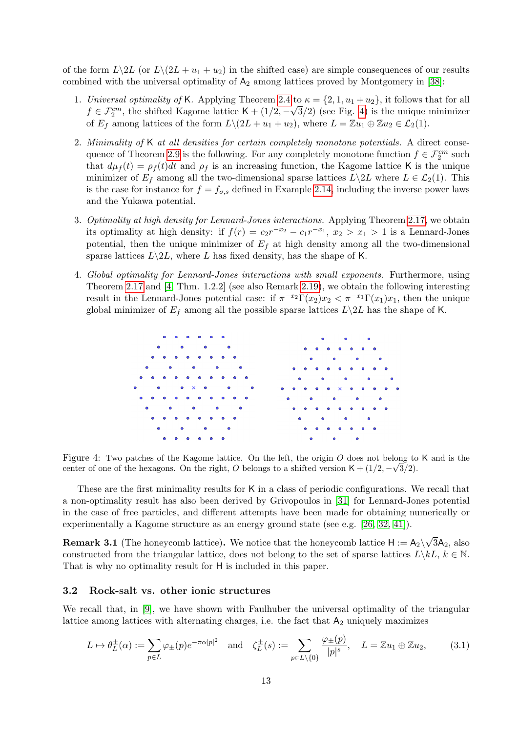of the form  $L\backslash 2L$  (or  $L\backslash (2L + u_1 + u_2)$ ) in the shifted case) are simple consequences of our results combined with the universal optimality of  $A_2$  among lattices proved by Montgomery in [\[38\]](#page-20-8):

- 1. Universal optimality of K. Applying Theorem [2.4](#page-6-0) to  $\kappa = \{2, 1, u_1 + u_2\}$ , it follows that for all  $f \in \mathcal{F}_2^{cm}$ , the shifted Kagome lattice  $\mathsf{K} + (1/2, -\sqrt{3}/2)$  (see Fig. [4\)](#page-12-1) is the unique minimizer of  $E_f$  among lattices of the form  $L \setminus (2L + u_1 + u_2)$ , where  $L = \mathbb{Z}u_1 \oplus \mathbb{Z}u_2 \in \mathcal{L}_2(1)$ .
- 2. Minimality of K at all densities for certain completely monotone potentials. A direct conse-quence of Theorem [2.9](#page-7-0) is the following. For any completely monotone function  $f \in \mathcal{F}_2^{cm}$  such that  $d\mu_f(t) = \rho_f(t)dt$  and  $\rho_f$  is an increasing function, the Kagome lattice K is the unique minimizer of  $E_f$  among all the two-dimensional sparse lattices  $L\setminus 2L$  where  $L \in \mathcal{L}_2(1)$ . This is the case for instance for  $f = f_{\sigma,s}$  defined in Example [2.14,](#page-9-3) including the inverse power laws and the Yukawa potential.
- 3. Optimality at high density for Lennard-Jones interactions. Applying Theorem [2.17,](#page-10-0) we obtain its optimality at high density: if  $f(r) = c_2r^{-x_2} - c_1r^{-x_1}$ ,  $x_2 > x_1 > 1$  is a Lennard-Jones potential, then the unique minimizer of  $E_f$  at high density among all the two-dimensional sparse lattices  $L\backslash 2L$ , where L has fixed density, has the shape of K.
- 4. Global optimality for Lennard-Jones interactions with small exponents. Furthermore, using Theorem [2.17](#page-10-0) and [\[4,](#page-19-16) Thm. 1.2.2] (see also Remark [2.19\)](#page-10-2), we obtain the following interesting result in the Lennard-Jones potential case: if  $\pi^{-x_2} \Gamma(x_2) x_2 < \pi^{-x_1} \Gamma(x_1) x_1$ , then the unique global minimizer of  $E_f$  among all the possible sparse lattices  $L\setminus 2L$  has the shape of K.



<span id="page-12-1"></span>Figure 4: Two patches of the Kagome lattice. On the left, the origin O does not belong to K and is the center of one of the hexagons. On the right, O belongs to a shifted version  $\mathsf{K} + (1/2, -\sqrt{3}/2)$ .

These are the first minimality results for K in a class of periodic configurations. We recall that a non-optimality result has also been derived by Grivopoulos in [\[31\]](#page-20-15) for Lennard-Jones potential in the case of free particles, and different attempts have been made for obtaining numerically or experimentally a Kagome structure as an energy ground state (see e.g. [\[26,](#page-19-28) [32,](#page-20-16) [41\]](#page-20-17)).

**Remark 3.1** (The honeycomb lattice). We notice that the honeycomb lattice  $H := A_2 \setminus$ √  $3\mathsf{A}_2,$  also constructed from the triangular lattice, does not belong to the set of sparse lattices  $L\backslash kL$ ,  $k \in \mathbb{N}$ . That is why no optimality result for H is included in this paper.

### <span id="page-12-0"></span>3.2 Rock-salt vs. other ionic structures

We recall that, in [\[9\]](#page-19-6), we have shown with Faulhuber the universal optimality of the triangular lattice among lattices with alternating charges, i.e. the fact that  $A_2$  uniquely maximizes

$$
L \mapsto \theta_L^{\pm}(\alpha) := \sum_{p \in L} \varphi_{\pm}(p) e^{-\pi \alpha |p|^2} \quad \text{and} \quad \zeta_L^{\pm}(s) := \sum_{p \in L \setminus \{0\}} \frac{\varphi_{\pm}(p)}{|p|^s}, \quad L = \mathbb{Z} u_1 \oplus \mathbb{Z} u_2,\tag{3.1}
$$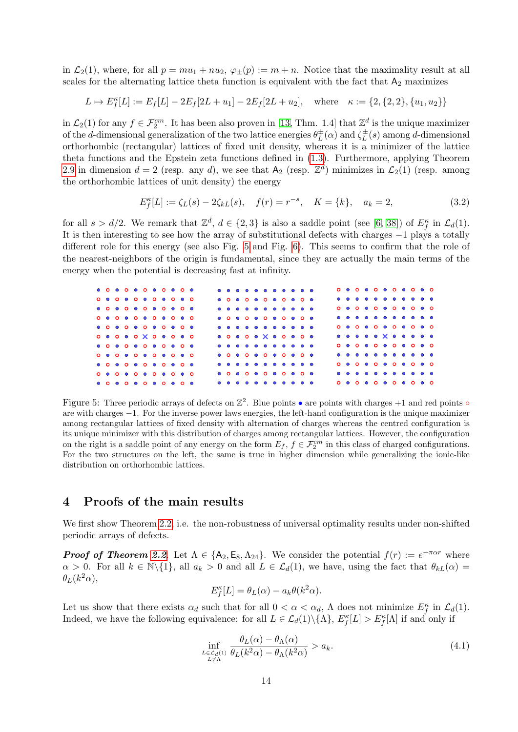in  $\mathcal{L}_2(1)$ , where, for all  $p = mu_1 + nu_2$ ,  $\varphi_{\pm}(p) := m + n$ . Notice that the maximality result at all scales for the alternating lattice theta function is equivalent with the fact that  $A_2$  maximizes

$$
L \mapsto E_f^{\kappa}[L] := E_f[L] - 2E_f[2L + u_1] - 2E_f[2L + u_2], \text{ where } \kappa := \{2, \{2, 2\}, \{u_1, u_2\}\}\
$$

in  $\mathcal{L}_2(1)$  for any  $f \in \mathcal{F}_2^{cm}$ . It has been also proven in [\[13,](#page-19-25) Thm. 1.4] that  $\mathbb{Z}^d$  is the unique maximizer of the d-dimensional generalization of the two lattice energies  $\theta_L^{\pm}$  $L^{\pm}(\alpha)$  and  $\zeta_L^{\pm}$  $L^{\pm}(s)$  among d-dimensional orthorhombic (rectangular) lattices of fixed unit density, whereas it is a minimizer of the lattice theta functions and the Epstein zeta functions defined in [\(1.3\)](#page-2-2). Furthermore, applying Theorem [2.9](#page-7-0) in dimension  $d = 2$  (resp. any d), we see that  $A_2$  (resp.  $\mathbb{Z}^d$ ) minimizes in  $\mathcal{L}_2(1)$  (resp. among the orthorhombic lattices of unit density) the energy

$$
E_f^{\kappa}[L] := \zeta_L(s) - 2\zeta_{k}(s), \quad f(r) = r^{-s}, \quad K = \{k\}, \quad a_k = 2,
$$
\n(3.2)

for all  $s > d/2$ . We remark that  $\mathbb{Z}^d$ ,  $d \in \{2,3\}$  is also a saddle point (see [\[6,](#page-19-22) [38\]](#page-20-8)) of  $E_f^{\kappa}$  in  $\mathcal{L}_d(1)$ . It is then interesting to see how the array of substitutional defects with charges −1 plays a totally different role for this energy (see also Fig. [5](#page-13-1) and Fig. [6\)](#page-14-0). This seems to confirm that the role of the nearest-neighbors of the origin is fundamental, since they are actually the main terms of the energy when the potential is decreasing fast at infinity.

|  |  |                                                                                               |  |  |  |  |  |  |  | .                                                                                                                                                                                                                                                                                                                                                                                                                                                                               |  |  |  | $0\qquad 0\qquad 0\qquad 0\qquad 0\qquad 0\qquad 0\qquad 0$                                        |  |  |  |
|--|--|-----------------------------------------------------------------------------------------------|--|--|--|--|--|--|--|---------------------------------------------------------------------------------------------------------------------------------------------------------------------------------------------------------------------------------------------------------------------------------------------------------------------------------------------------------------------------------------------------------------------------------------------------------------------------------|--|--|--|----------------------------------------------------------------------------------------------------|--|--|--|
|  |  |                                                                                               |  |  |  |  |  |  |  |                                                                                                                                                                                                                                                                                                                                                                                                                                                                                 |  |  |  | . <b>.</b>                                                                                         |  |  |  |
|  |  |                                                                                               |  |  |  |  |  |  |  | .                                                                                                                                                                                                                                                                                                                                                                                                                                                                               |  |  |  |                                                                                                    |  |  |  |
|  |  |                                                                                               |  |  |  |  |  |  |  |                                                                                                                                                                                                                                                                                                                                                                                                                                                                                 |  |  |  | . <b>.</b>                                                                                         |  |  |  |
|  |  |                                                                                               |  |  |  |  |  |  |  |                                                                                                                                                                                                                                                                                                                                                                                                                                                                                 |  |  |  | $0\qquad 0\qquad 0\qquad 0\qquad 0\qquad 0\qquad 0\qquad 0$                                        |  |  |  |
|  |  | $0\qquadbullet\qquad 0\qquadbullet\qquad 0\qquad\qquad 0\qquadbullet\qquad 0$                 |  |  |  |  |  |  |  | $\bullet$ $\circ$ $\bullet$ $\circ$ $\bullet$ $\times$ $\bullet$ $\circ$ $\circ$ $\circ$ $\circ$                                                                                                                                                                                                                                                                                                                                                                                |  |  |  | $\bullet$ $\bullet$ $\bullet$ $\bullet$ $\times$ $\bullet$ $\bullet$ $\bullet$ $\bullet$ $\bullet$ |  |  |  |
|  |  |                                                                                               |  |  |  |  |  |  |  | .                                                                                                                                                                                                                                                                                                                                                                                                                                                                               |  |  |  | $0\quad 0\quad 0\quad 0\quad 0\quad 0\quad 0\quad 0\quad 0\quad 0$                                 |  |  |  |
|  |  |                                                                                               |  |  |  |  |  |  |  |                                                                                                                                                                                                                                                                                                                                                                                                                                                                                 |  |  |  | .                                                                                                  |  |  |  |
|  |  | $\bullet$ . $\bullet$ . $\bullet$ . $\bullet$ . $\bullet$ . $\bullet$ . $\bullet$ . $\bullet$ |  |  |  |  |  |  |  | .                                                                                                                                                                                                                                                                                                                                                                                                                                                                               |  |  |  |                                                                                                    |  |  |  |
|  |  | 0 0 0 0 0 0 0 0 0 0                                                                           |  |  |  |  |  |  |  |                                                                                                                                                                                                                                                                                                                                                                                                                                                                                 |  |  |  | .                                                                                                  |  |  |  |
|  |  |                                                                                               |  |  |  |  |  |  |  | $\bullet\hspace{1.9mm}\bullet\hspace{1.9mm}\bullet\hspace{1.9mm}\bullet\hspace{1.9mm}\bullet\hspace{1.9mm}\bullet\hspace{1.9mm}\bullet\hspace{1.9mm}\bullet\hspace{1.9mm}\bullet\hspace{1.9mm}\bullet\hspace{1.9mm}\bullet\hspace{1.9mm}\bullet\hspace{1.9mm}\bullet\hspace{1.9mm}\bullet\hspace{1.9mm}\bullet\hspace{1.9mm}\bullet\hspace{1.9mm}\bullet\hspace{1.9mm}\bullet\hspace{1.9mm}\bullet\hspace{1.9mm}\bullet\hspace{1.9mm}\bullet\hspace{1.9mm}\bullet\hspace{1.9mm$ |  |  |  | 0 0 0 0 0 0 0 0 0 0                                                                                |  |  |  |
|  |  |                                                                                               |  |  |  |  |  |  |  |                                                                                                                                                                                                                                                                                                                                                                                                                                                                                 |  |  |  |                                                                                                    |  |  |  |

<span id="page-13-1"></span>Figure 5: Three periodic arrays of defects on  $\mathbb{Z}^2$ . Blue points • are points with charges +1 and red points  $\circ$ are with charges −1. For the inverse power laws energies, the left-hand configuration is the unique maximizer among rectangular lattices of fixed density with alternation of charges whereas the centred configuration is its unique minimizer with this distribution of charges among rectangular lattices. However, the configuration on the right is a saddle point of any energy on the form  $E_f$ ,  $f \in \mathcal{F}_2^{cm}$  in this class of charged configurations. For the two structures on the left, the same is true in higher dimension while generalizing the ionic-like distribution on orthorhombic lattices.

## <span id="page-13-0"></span>4 Proofs of the main results

We first show Theorem [2.2,](#page-6-1) i.e. the non-robustness of universal optimality results under non-shifted periodic arrays of defects.

**Proof of Theorem [2.2](#page-6-1).** Let  $\Lambda \in \{A_2, E_8, \Lambda_{24}\}.$  We consider the potential  $f(r) := e^{-\pi\alpha r}$  where  $\alpha > 0$ . For all  $k \in \mathbb{N}\setminus\{1\}$ , all  $a_k > 0$  and all  $L \in \mathcal{L}_d(1)$ , we have, using the fact that  $\theta_{k}(a) =$  $\theta_L(k^2\alpha),$ 

$$
E_f^{\kappa}[L] = \theta_L(\alpha) - a_k \theta(k^2 \alpha).
$$

Let us show that there exists  $\alpha_d$  such that for all  $0 < \alpha < \alpha_d$ ,  $\Lambda$  does not minimize  $E_f^{\kappa}$  in  $\mathcal{L}_d(1)$ . Indeed, we have the following equivalence: for all  $L \in \mathcal{L}_d(1) \setminus {\{\Lambda\}}, E_f^{\kappa}[L] > E_f^{\kappa}[\Lambda]$  if and only if

<span id="page-13-2"></span>
$$
\inf_{\substack{L \in \mathcal{L}_d(1) \\ L \neq \Lambda}} \frac{\theta_L(\alpha) - \theta_\Lambda(\alpha)}{\theta_L(k^2 \alpha) - \theta_\Lambda(k^2 \alpha)} > a_k.
$$
\n(4.1)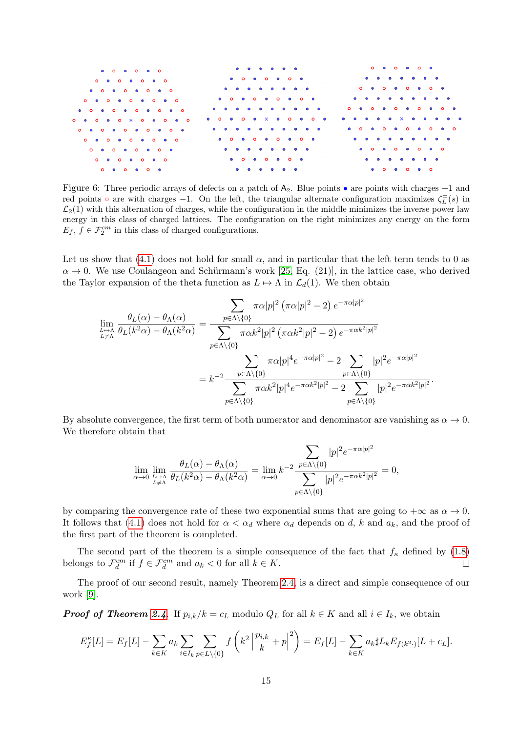

<span id="page-14-0"></span>Figure 6: Three periodic arrays of defects on a patch of  $A_2$ . Blue points • are points with charges +1 and red points ∘ are with charges  $-1$ . On the left, the triangular alternate configuration maximizes  $\zeta_L^{\pm}(s)$  in  $\mathcal{L}_2(1)$  with this alternation of charges, while the configuration in the middle minimizes the inverse power law energy in this class of charged lattices. The configuration on the right minimizes any energy on the form  $E_f, f \in \mathcal{F}_2^{cm}$  in this class of charged configurations.

Let us show that [\(4.1\)](#page-13-2) does not hold for small  $\alpha$ , and in particular that the left term tends to 0 as  $\alpha \to 0$ . We use Coulangeon and Schürmann's work [\[25,](#page-19-23) Eq. (21)], in the lattice case, who derived the Taylor expansion of the theta function as  $L \mapsto \Lambda$  in  $\mathcal{L}_d(1)$ . We then obtain

$$
\lim_{L\to\Lambda} \frac{\theta_L(\alpha) - \theta_\Lambda(\alpha)}{\theta_L(k^2\alpha) - \theta_\Lambda(k^2\alpha)} = \frac{\displaystyle\sum_{p\in\Lambda\backslash\{0\}} \pi \alpha|p|^2 (\pi \alpha|p|^2 - 2) e^{-\pi \alpha|p|^2}}{\displaystyle\sum_{p\in\Lambda\backslash\{0\}} \pi \alpha k^2|p|^2 (\pi \alpha k^2|p|^2 - 2) e^{-\pi \alpha k^2|p|^2}}
$$
\n
$$
= k^{-2} \frac{\displaystyle\sum_{p\in\Lambda\backslash\{0\}} \pi \alpha|p|^4 e^{-\pi \alpha|p|^2} - 2 \sum_{p\in\Lambda\backslash\{0\}} |p|^2 e^{-\pi \alpha|p|^2}}{\displaystyle\sum_{p\in\Lambda\backslash\{0\}} \pi \alpha k^2|p|^4 e^{-\pi \alpha k^2|p|^2} - 2 \sum_{p\in\Lambda\backslash\{0\}} |p|^2 e^{-\pi \alpha k^2|p|^2}}.
$$

By absolute convergence, the first term of both numerator and denominator are vanishing as  $\alpha \to 0$ . We therefore obtain that

$$
\lim_{\alpha \to 0} \lim_{L \to \Lambda} \frac{\theta_L(\alpha) - \theta_\Lambda(\alpha)}{\theta_L(k^2 \alpha) - \theta_\Lambda(k^2 \alpha)} = \lim_{\alpha \to 0} k^{-2} \frac{\sum_{p \in \Lambda \setminus \{0\}} |p|^2 e^{-\pi \alpha |p|^2}}{\sum_{p \in \Lambda \setminus \{0\}} |p|^2 e^{-\pi \alpha k^2 |p|^2}} = 0,
$$

by comparing the convergence rate of these two exponential sums that are going to  $+\infty$  as  $\alpha \to 0$ . It follows that [\(4.1\)](#page-13-2) does not hold for  $\alpha < \alpha_d$  where  $\alpha_d$  depends on d, k and  $a_k$ , and the proof of the first part of the theorem is completed.

The second part of the theorem is a simple consequence of the fact that  $f_{\kappa}$  defined by [\(1.8\)](#page-4-1) belongs to  $\mathcal{F}_d^{cm}$  if  $f \in \mathcal{F}_d^{cm}$  and  $a_k < 0$  for all  $k \in K$ .  $\Box$ 

The proof of our second result, namely Theorem [2.4,](#page-6-0) is a direct and simple consequence of our work [\[9\]](#page-19-6).

**Proof of Theorem [2.4](#page-6-0).** If  $p_{i,k}/k = c_L$  modulo  $Q_L$  for all  $k \in K$  and all  $i \in I_k$ , we obtain

$$
E_f^{\kappa}[L] = E_f[L] - \sum_{k \in K} a_k \sum_{i \in I_k} \sum_{p \in L \setminus \{0\}} f\left(k^2 \left| \frac{p_{i,k}}{k} + p \right|^2\right) = E_f[L] - \sum_{k \in K} a_k \sharp L_k E_{f(k^2 \cdot)}[L + c_L].
$$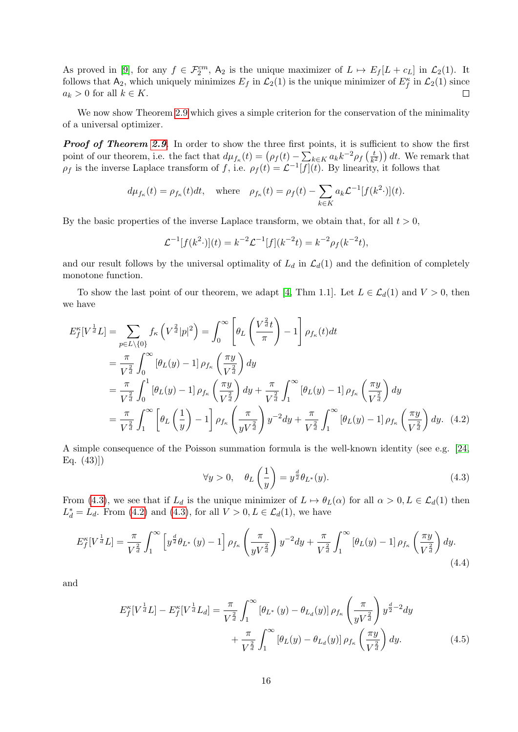As proved in [\[9\]](#page-19-6), for any  $f \in \mathcal{F}_2^{cm}$ ,  $A_2$  is the unique maximizer of  $L \mapsto E_f[L + c_L]$  in  $\mathcal{L}_2(1)$ . It follows that A<sub>2</sub>, which uniquely minimizes  $E_f$  in  $\mathcal{L}_2(1)$  is the unique minimizer of  $E_f^{\kappa}$  in  $\mathcal{L}_2(1)$  since  $a_k > 0$  for all  $k \in K$ .  $\Box$ 

We now show Theorem [2.9](#page-7-0) which gives a simple criterion for the conservation of the minimality of a universal optimizer.

**Proof of Theorem [2.9](#page-7-0).** In order to show the three first points, it is sufficient to show the first point of our theorem, i.e. the fact that  $d\mu_{f_k}(t) = (\rho_f(t) - \sum_{k \in K} a_k k^{-2} \rho_f \left(\frac{t}{k}\right))$  $(\frac{t}{k^2})$  dt. We remark that  $\rho_f$  is the inverse Laplace transform of f, i.e.  $\rho_f(t) = \mathcal{L}^{-1}[f](t)$ . By linearity, it follows that

$$
d\mu_{f_{\kappa}}(t) = \rho_{f_{\kappa}}(t)dt
$$
, where  $\rho_{f_{\kappa}}(t) = \rho_f(t) - \sum_{k \in K} a_k \mathcal{L}^{-1}[f(k^2 \cdot)](t)$ .

By the basic properties of the inverse Laplace transform, we obtain that, for all  $t > 0$ ,

$$
\mathcal{L}^{-1}[f(k^2\cdot)](t) = k^{-2}\mathcal{L}^{-1}[f](k^{-2}t) = k^{-2}\rho_f(k^{-2}t),
$$

and our result follows by the universal optimality of  $L_d$  in  $\mathcal{L}_d(1)$  and the definition of completely monotone function.

To show the last point of our theorem, we adapt [\[4,](#page-19-16) Thm 1.1]. Let  $L \in \mathcal{L}_d(1)$  and  $V > 0$ , then we have

$$
E_f^{\kappa}[V^{\frac{1}{d}}L] = \sum_{p \in L \setminus \{0\}} f_{\kappa} \left(V^{\frac{2}{d}}|p|^2\right) = \int_0^{\infty} \left[\theta_L \left(\frac{V^{\frac{2}{d}}t}{\pi}\right) - 1\right] \rho_{f_{\kappa}}(t) dt
$$
  
\n
$$
= \frac{\pi}{V^{\frac{2}{d}}} \int_0^{\infty} \left[\theta_L(y) - 1\right] \rho_{f_{\kappa}} \left(\frac{\pi y}{V^{\frac{2}{d}}}\right) dy
$$
  
\n
$$
= \frac{\pi}{V^{\frac{2}{d}}} \int_0^1 \left[\theta_L(y) - 1\right] \rho_{f_{\kappa}} \left(\frac{\pi y}{V^{\frac{2}{d}}}\right) dy + \frac{\pi}{V^{\frac{2}{d}}} \int_1^{\infty} \left[\theta_L(y) - 1\right] \rho_{f_{\kappa}} \left(\frac{\pi y}{V^{\frac{2}{d}}}\right) dy
$$
  
\n
$$
= \frac{\pi}{V^{\frac{2}{d}}} \int_1^{\infty} \left[\theta_L \left(\frac{1}{y}\right) - 1\right] \rho_{f_{\kappa}} \left(\frac{\pi}{yV^{\frac{2}{d}}}\right) y^{-2} dy + \frac{\pi}{V^{\frac{2}{d}}} \int_1^{\infty} \left[\theta_L(y) - 1\right] \rho_{f_{\kappa}} \left(\frac{\pi y}{V^{\frac{2}{d}}}\right) dy. \quad (4.2)
$$

A simple consequence of the Poisson summation formula is the well-known identity (see e.g. [\[24,](#page-19-29) Eq. (43)])

<span id="page-15-2"></span><span id="page-15-1"></span><span id="page-15-0"></span>
$$
\forall y > 0, \quad \theta_L\left(\frac{1}{y}\right) = y^{\frac{d}{2}}\theta_{L^*}(y). \tag{4.3}
$$

From [\(4.3\)](#page-15-0), we see that if  $L_d$  is the unique minimizer of  $L \mapsto \theta_L(\alpha)$  for all  $\alpha > 0, L \in \mathcal{L}_d(1)$  then  $L_d^* = L_d$ . From [\(4.2\)](#page-15-1) and [\(4.3\)](#page-15-0), for all  $V > 0, L \in \mathcal{L}_d(1)$ , we have

$$
E_{f}^{\kappa}[V^{\frac{1}{d}}L] = \frac{\pi}{V^{\frac{2}{d}}}\int_{1}^{\infty} \left[ y^{\frac{d}{2}}\theta_{L^{*}}\left(y\right) - 1 \right] \rho_{f_{\kappa}} \left( \frac{\pi}{yV^{\frac{2}{d}}} \right) y^{-2} dy + \frac{\pi}{V^{\frac{2}{d}}}\int_{1}^{\infty} \left[ \theta_{L}(y) - 1 \right] \rho_{f_{\kappa}} \left( \frac{\pi y}{V^{\frac{2}{d}}} \right) dy. \tag{4.4}
$$

and

$$
E_{f}^{\kappa}[V^{\frac{1}{d}}L] - E_{f}^{\kappa}[V^{\frac{1}{d}}L_{d}] = \frac{\pi}{V^{\frac{2}{d}}}\int_{1}^{\infty} \left[\theta_{L^{*}}(y) - \theta_{L_{d}}(y)\right]\rho_{f_{\kappa}}\left(\frac{\pi}{yV^{\frac{2}{d}}}\right)y^{\frac{d}{2}-2}dy + \frac{\pi}{V^{\frac{2}{d}}}\int_{1}^{\infty} \left[\theta_{L}(y) - \theta_{L_{d}}(y)\right]\rho_{f_{\kappa}}\left(\frac{\pi y}{V^{\frac{2}{d}}}\right)dy.
$$
 (4.5)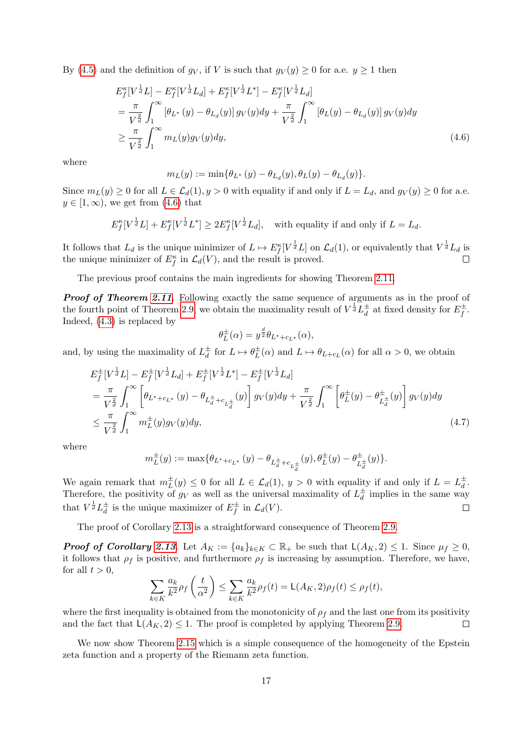By [\(4.5\)](#page-15-2) and the definition of  $g_V$ , if V is such that  $g_V(y) \geq 0$  for a.e.  $y \geq 1$  then

$$
E_{f}^{\kappa}[V^{\frac{1}{d}}L] - E_{f}^{\kappa}[V^{\frac{1}{d}}L_{d}] + E_{f}^{\kappa}[V^{\frac{1}{d}}L^{*}] - E_{f}^{\kappa}[V^{\frac{1}{d}}L_{d}]
$$
  
\n
$$
= \frac{\pi}{V^{\frac{2}{d}}}\int_{1}^{\infty} [\theta_{L^{*}}(y) - \theta_{L_{d}}(y)] g_{V}(y) dy + \frac{\pi}{V^{\frac{2}{d}}}\int_{1}^{\infty} [\theta_{L}(y) - \theta_{L_{d}}(y)] g_{V}(y) dy
$$
  
\n
$$
\geq \frac{\pi}{V^{\frac{2}{d}}}\int_{1}^{\infty} m_{L}(y) g_{V}(y) dy,
$$
\n(4.6)

where

<span id="page-16-0"></span>
$$
m_L(y) := \min{\{\theta_{L^*}(y) - \theta_{L_d}(y), \theta_L(y) - \theta_{L_d}(y)\}}.
$$

Since  $m_L(y) \geq 0$  for all  $L \in \mathcal{L}_d(1), y > 0$  with equality if and only if  $L = L_d$ , and  $g_V(y) \geq 0$  for a.e.  $y \in [1,\infty)$ , we get from  $(4.6)$  that

$$
E_f^{\kappa}[V^{\frac{1}{d}}L] + E_f^{\kappa}[V^{\frac{1}{d}}L^*] \ge 2E_f^{\kappa}[V^{\frac{1}{d}}L_d], \text{ with equality if and only if } L = L_d.
$$

It follows that  $L_d$  is the unique minimizer of  $L \mapsto E_f^{\kappa} [V^{\frac{1}{d}} L]$  on  $\mathcal{L}_d(1)$ , or equivalently that  $V^{\frac{1}{d}} L_d$  is the unique minimizer of  $E_f^{\kappa}$  in  $\mathcal{L}_d(V)$ , and the result is proved.

The previous proof contains the main ingredients for showing Theorem [2.11.](#page-8-0)

**Proof of Theorem [2.11](#page-8-0).** Following exactly the same sequence of arguments as in the proof of the fourth point of Theorem [2.9,](#page-7-0) we obtain the maximality result of  $V^{\frac{1}{d}}L_d^{\pm}$  $\frac{1}{d}$  at fixed density for  $E_f^{\pm}$  $\overline{f}$  . Indeed, [\(4.3\)](#page-15-0) is replaced by

$$
\theta_L^{\pm}(\alpha) = y^{\frac{d}{2}} \theta_{L^* + c_{L^*}}(\alpha),
$$

and, by using the maximality of  $L_d^{\pm}$  $\frac{1}{d}$  for  $L \mapsto \theta_L^{\pm}$  $L^{\pm}(\alpha)$  and  $L \mapsto \theta_{L+c_L}(\alpha)$  for all  $\alpha > 0$ , we obtain

$$
E_{f}^{\pm}[V^{\frac{1}{d}}L] - E_{f}^{\pm}[V^{\frac{1}{d}}L_{d}] + E_{f}^{\pm}[V^{\frac{1}{d}}L^{*}] - E_{f}^{\pm}[V^{\frac{1}{d}}L_{d}]
$$
  
\n
$$
= \frac{\pi}{V^{\frac{2}{d}}}\int_{1}^{\infty} \left[\theta_{L^{*}+c_{L^{*}}} (y) - \theta_{L_{d}^{\pm}+c_{L_{d}^{\pm}}} (y)\right] g_{V}(y) dy + \frac{\pi}{V^{\frac{2}{d}}}\int_{1}^{\infty} \left[\theta_{L}^{\pm}(y) - \theta_{L_{d}^{\pm}}^{\pm}(y)\right] g_{V}(y) dy
$$
  
\n
$$
\leq \frac{\pi}{V^{\frac{2}{d}}}\int_{1}^{\infty} m_{L}^{\pm}(y) g_{V}(y) dy, \tag{4.7}
$$

where

$$
m_L^{\pm}(y) := \max \{ \theta_{L^* + c_{L^*}}(y) - \theta_{L_d^{\pm} + c_{L_d^{\pm}}}(y), \theta_L^{\pm}(y) - \theta_{L_d^{\pm}}^{\pm}(y) \}.
$$

We again remark that  $m_L^{\pm}(y) \leq 0$  for all  $L \in \mathcal{L}_d(1)$ ,  $y > 0$  with equality if and only if  $L = L_d^{\pm}$  $\frac{1}{d}$ . Therefore, the positivity of  $g_V$  as well as the universal maximality of  $L_d^{\pm}$  $\frac{1}{d}$  implies in the same way that  $V^{\frac{1}{d}}L_d^{\pm}$  $\frac{1}{d}$  is the unique maximizer of  $E_f^{\pm}$  $\int_{f}^{\pm}$  in  $\mathcal{L}_d(V)$ .  $\Box$ 

The proof of Corollary [2.13](#page-9-2) is a straightforward consequence of Theorem [2.9.](#page-7-0)

**Proof of Corollary [2.13](#page-9-2).** Let  $A_K := \{a_k\}_{k\in K} \subset \mathbb{R}_+$  be such that  $\mathsf{L}(A_K, 2) \leq 1$ . Since  $\mu_f \geq 0$ , it follows that  $\rho_f$  is positive, and furthermore  $\rho_f$  is increasing by assumption. Therefore, we have, for all  $t > 0$ ,

$$
\sum_{k \in K} \frac{a_k}{k^2} \rho_f\left(\frac{t}{\alpha^2}\right) \le \sum_{k \in K} \frac{a_k}{k^2} \rho_f(t) = \mathsf{L}(A_K, 2) \rho_f(t) \le \rho_f(t),
$$

where the first inequality is obtained from the monotonicity of  $\rho_f$  and the last one from its positivity and the fact that  $\mathsf{L}(A_K, 2) \leq 1$ . The proof is completed by applying Theorem [2.9.](#page-7-0)  $\Box$ 

We now show Theorem [2.15](#page-9-4) which is a simple consequence of the homogeneity of the Epstein zeta function and a property of the Riemann zeta function.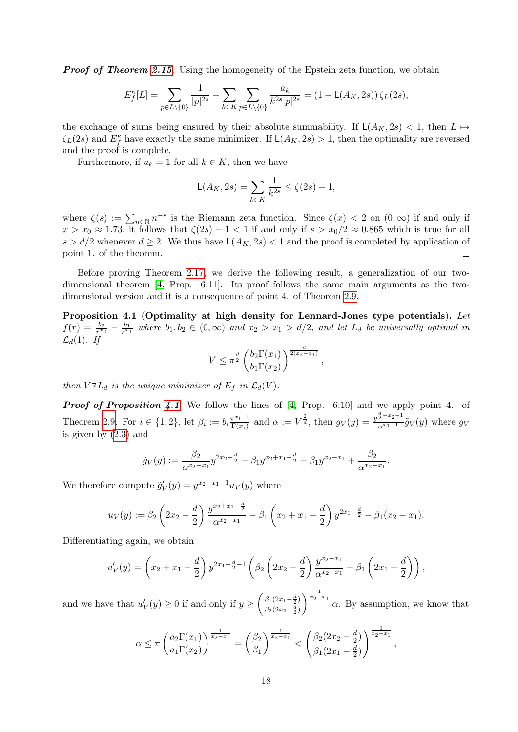**Proof of Theorem [2.15](#page-9-4).** Using the homogeneity of the Epstein zeta function, we obtain

$$
E_f^{\kappa}[L] = \sum_{p \in L \setminus \{0\}} \frac{1}{|p|^{2s}} - \sum_{k \in K} \sum_{p \in L \setminus \{0\}} \frac{a_k}{k^{2s}|p|^{2s}} = (1 - L(A_K, 2s)) \zeta_L(2s),
$$

the exchange of sums being ensured by their absolute summability. If  $\mathsf{L}(A_K, 2s) < 1$ , then  $L \mapsto$  $\zeta_L(2s)$  and  $E_f^{\kappa}$  have exactly the same minimizer. If  $\mathsf{L}(A_K, 2s) > 1$ , then the optimality are reversed and the proof is complete.

Furthermore, if  $a_k = 1$  for all  $k \in K$ , then we have

$$
L(A_K, 2s) = \sum_{k \in K} \frac{1}{k^{2s}} \le \zeta(2s) - 1,
$$

where  $\zeta(s) := \sum_{n \in \mathbb{N}} n^{-s}$  is the Riemann zeta function. Since  $\zeta(x) < 2$  on  $(0, \infty)$  if and only if  $x > x_0 \approx 1.73$ , it follows that  $\zeta(2s) - 1 < 1$  if and only if  $s > x_0/2 \approx 0.865$  which is true for all  $s > d/2$  whenever  $d \geq 2$ . We thus have  $\mathsf{L}(A_K, 2s) < 1$  and the proof is completed by application of point 1. of the theorem.  $\Box$ 

Before proving Theorem [2.17,](#page-10-0) we derive the following result, a generalization of our twodimensional theorem [\[4,](#page-19-16) Prop. 6.11]. Its proof follows the same main arguments as the twodimensional version and it is a consequence of point 4. of Theorem [2.9.](#page-7-0)

<span id="page-17-0"></span>Proposition 4.1 (Optimality at high density for Lennard-Jones type potentials). Let  $f(r) = \frac{b_2}{r^{x_2}} - \frac{b_1}{r^{x_1}}$  where  $b_1, b_2 \in (0, \infty)$  and  $x_2 > x_1 > d/2$ , and let  $L_d$  be universally optimal in  $\mathcal{L}_d(1)$ . If

$$
V \leq \pi^{\frac{d}{2}} \left( \frac{b_2 \Gamma(x_1)}{b_1 \Gamma(x_2)} \right)^{\frac{d}{2(x_2 - x_1)}},
$$

then  $V^{\frac{1}{d}}L_d$  is the unique minimizer of  $E_f$  in  $\mathcal{L}_d(V)$ .

**Proof of Proposition [4.1](#page-17-0).** We follow the lines of [\[4,](#page-19-16) Prop. 6.10] and we apply point 4. of Theorem [2.9.](#page-7-0) For  $i \in \{1,2\}$ , let  $\beta_i := b_i \frac{\pi^{x_i-1}}{\Gamma(x_i)}$  $\frac{\pi^{x_i-1}}{\Gamma(x_i)}$  and  $\alpha := V^{\frac{2}{d}}$ , then  $g_V(y) = \frac{y^{\frac{d}{2}-x_2-1}}{\alpha^{x_1-1}} \tilde{g}_V(y)$  where  $g_V$ is given by [\(2.3\)](#page-7-2) and

$$
\tilde{g}_V(y) := \frac{\beta_2}{\alpha^{x_2 - x_1}} y^{2x_2 - \frac{d}{2}} - \beta_1 y^{x_2 + x_1 - \frac{d}{2}} - \beta_1 y^{x_2 - x_1} + \frac{\beta_2}{\alpha^{x_2 - x_1}}.
$$

We therefore compute  $\tilde{g}'_V(y) = y^{x_2 - x_1 - 1} u_V(y)$  where

$$
u_V(y) := \beta_2 \left(2x_2 - \frac{d}{2}\right) \frac{y^{x_2 + x_1 - \frac{d}{2}}}{\alpha^{x_2 - x_1}} - \beta_1 \left(x_2 + x_1 - \frac{d}{2}\right) y^{2x_1 - \frac{d}{2}} - \beta_1(x_2 - x_1).
$$

Differentiating again, we obtain

$$
u'_{V}(y) = \left(x_2 + x_1 - \frac{d}{2}\right) y^{2x_1 - \frac{d}{2} - 1} \left(\beta_2 \left(2x_2 - \frac{d}{2}\right) \frac{y^{x_2 - x_1}}{\alpha^{x_2 - x_1}} - \beta_1 \left(2x_1 - \frac{d}{2}\right)\right),
$$

and we have that  $u'_V(y) \geq 0$  if and only if  $y \geq \left(\frac{\beta_1(2x_1-\frac{d}{2})}{\beta_2(2x_2-\frac{d}{2})}\right)$  $\sqrt{\beta_2(2x_2-\frac{d}{2})}$  $\int_{0}^{\frac{1}{x_2-x_1}} \alpha$ . By assumption, we know that

$$
\alpha \leq \pi \left(\frac{a_2 \Gamma(x_1)}{a_1 \Gamma(x_2)}\right)^{\frac{1}{x_2 - x_1}} = \left(\frac{\beta_2}{\beta_1}\right)^{\frac{1}{x_2 - x_1}} < \left(\frac{\beta_2(2x_2 - \frac{d}{2})}{\beta_1(2x_1 - \frac{d}{2})}\right)^{\frac{1}{x_2 - x_1}},
$$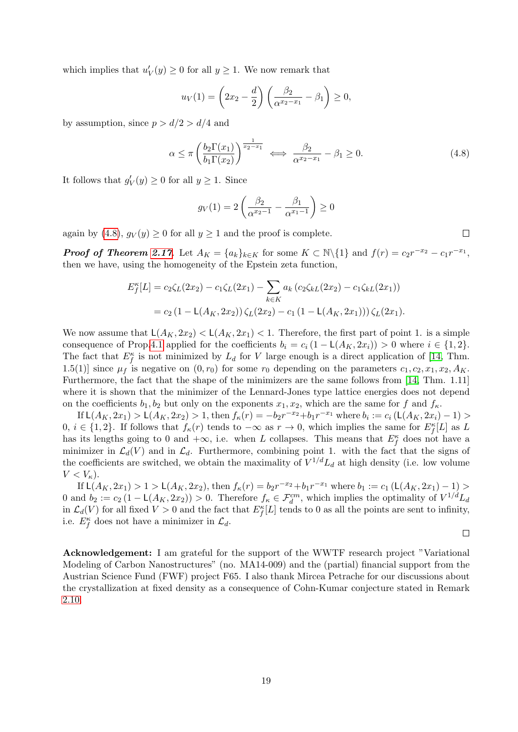which implies that  $u'_{V}(y) \ge 0$  for all  $y \ge 1$ . We now remark that

$$
u_V(1) = \left(2x_2 - \frac{d}{2}\right) \left(\frac{\beta_2}{\alpha^{x_2 - x_1}} - \beta_1\right) \ge 0,
$$

by assumption, since  $p > d/2 > d/4$  and

<span id="page-18-0"></span>
$$
\alpha \le \pi \left(\frac{b_2 \Gamma(x_1)}{b_1 \Gamma(x_2)}\right)^{\frac{1}{x_2 - x_1}} \iff \frac{\beta_2}{\alpha^{x_2 - x_1}} - \beta_1 \ge 0. \tag{4.8}
$$

It follows that  $g'_V(y) \ge 0$  for all  $y \ge 1$ . Since

$$
g_V(1) = 2\left(\frac{\beta_2}{\alpha^{x_2 - 1}} - \frac{\beta_1}{\alpha^{x_1 - 1}}\right) \ge 0
$$

again by [\(4.8\)](#page-18-0),  $g_V(y) \ge 0$  for all  $y \ge 1$  and the proof is complete.

**Proof of Theorem [2.17](#page-10-0).** Let  $A_K = \{a_k\}_{k \in K}$  for some  $K \subset \mathbb{N} \setminus \{1\}$  and  $f(r) = c_2 r^{-x_2} - c_1 r^{-x_1}$ , then we have, using the homogeneity of the Epstein zeta function,

$$
E_f^{\kappa}[L] = c_2 \zeta_L(2x_2) - c_1 \zeta_L(2x_1) - \sum_{k \in K} a_k (c_2 \zeta_{kL}(2x_2) - c_1 \zeta_{kL}(2x_1))
$$
  
=  $c_2 (1 - L(A_K, 2x_2)) \zeta_L(2x_2) - c_1 (1 - L(A_K, 2x_1))) \zeta_L(2x_1).$ 

We now assume that  $\mathsf{L}(A_K, 2x_2) < \mathsf{L}(A_K, 2x_1) < 1$ . Therefore, the first part of point 1. is a simple consequence of Prop[.4.1](#page-17-0) applied for the coefficients  $b_i = c_i (1 - L(A_K, 2x_i)) > 0$  where  $i \in \{1, 2\}$ . The fact that  $E_f^{\kappa}$  is not minimized by  $L_d$  for V large enough is a direct application of [\[14,](#page-19-8) Thm. 1.5(1)] since  $\mu_f$  is negative on  $(0, r_0)$  for some  $r_0$  depending on the parameters  $c_1, c_2, x_1, x_2, A_K$ . Furthermore, the fact that the shape of the minimizers are the same follows from [\[14,](#page-19-8) Thm. 1.11] where it is shown that the minimizer of the Lennard-Jones type lattice energies does not depend on the coefficients  $b_1, b_2$  but only on the exponents  $x_1, x_2$ , which are the same for f and  $f_k$ .

If  $\mathsf{L}(A_K, 2x_1) > \mathsf{L}(A_K, 2x_2) > 1$ , then  $f_k(r) = -b_2 r^{-x_2} + b_1 r^{-x_1}$  where  $b_i := c_i (\mathsf{L}(A_K, 2x_i) - 1) >$  $0, i \in \{1,2\}$ . If follows that  $f_{\kappa}(r)$  tends to  $-\infty$  as  $r \to 0$ , which implies the same for  $E_f^{\kappa}[L]$  as L has its lengths going to 0 and  $+\infty$ , i.e. when L collapses. This means that  $E_f^{\kappa}$  does not have a minimizer in  $\mathcal{L}_d(V)$  and in  $\mathcal{L}_d$ . Furthermore, combining point 1. with the fact that the signs of the coefficients are switched, we obtain the maximality of  $V^{1/d}L_d$  at high density (i.e. low volume  $V < V_{\kappa}$ ).

If  $\mathsf{L}(A_K, 2x_1) > 1 > \mathsf{L}(A_K, 2x_2)$ , then  $f_k(r) = b_2 r^{-x_2} + b_1 r^{-x_1}$  where  $b_1 := c_1 (\mathsf{L}(A_K, 2x_1) - 1) >$ 0 and  $b_2 := c_2 (1 - \mathsf{L}(A_K, 2x_2)) > 0$ . Therefore  $f_k \in \mathcal{F}_d^{cm}$ , which implies the optimality of  $V^{1/d} L_d$ in  $\mathcal{L}_d(V)$  for all fixed  $V > 0$  and the fact that  $E_f^{\kappa}[L]$  tends to 0 as all the points are sent to infinity, i.e.  $E_f^{\kappa}$  does not have a minimizer in  $\mathcal{L}_d$ .

 $\Box$ 

Acknowledgement: I am grateful for the support of the WWTF research project "Variational Modeling of Carbon Nanostructures" (no. MA14-009) and the (partial) financial support from the Austrian Science Fund (FWF) project F65. I also thank Mircea Petrache for our discussions about the crystallization at fixed density as a consequence of Cohn-Kumar conjecture stated in Remark [2.10.](#page-8-3)

 $\Box$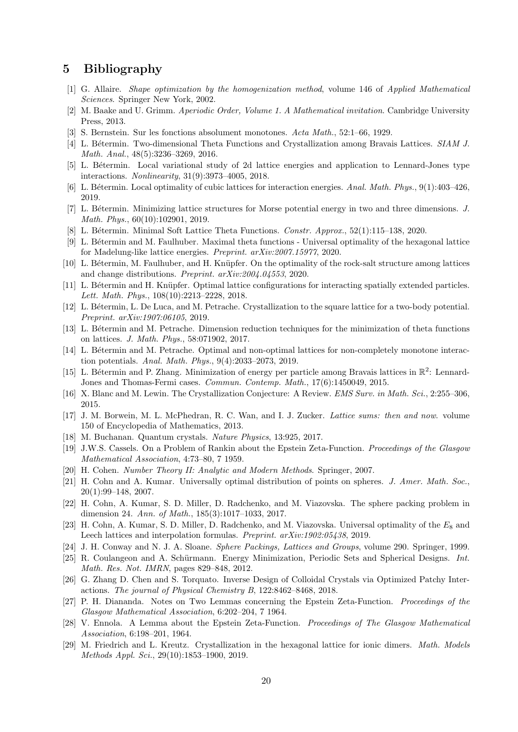# <span id="page-19-0"></span>5 Bibliography

- <span id="page-19-21"></span>[1] G. Allaire. Shape optimization by the homogenization method, volume 146 of Applied Mathematical Sciences. Springer New York, 2002.
- <span id="page-19-26"></span>[2] M. Baake and U. Grimm. Aperiodic Order, Volume 1. A Mathematical invitation. Cambridge University Press, 2013.
- <span id="page-19-9"></span>[3] S. Bernstein. Sur les fonctions absolument monotones. Acta Math., 52:1–66, 1929.
- <span id="page-19-16"></span>[4] L. Bétermin. Two-dimensional Theta Functions and Crystallization among Bravais Lattices. SIAM J. Math. Anal., 48(5):3236–3269, 2016.
- <span id="page-19-24"></span>[5] L. B´etermin. Local variational study of 2d lattice energies and application to Lennard-Jones type interactions. Nonlinearity, 31(9):3973–4005, 2018.
- <span id="page-19-22"></span>[6] L. Bétermin. Local optimality of cubic lattices for interaction energies. Anal. Math. Phys., 9(1):403–426, 2019.
- <span id="page-19-17"></span>[7] L. B´etermin. Minimizing lattice structures for Morse potential energy in two and three dimensions. J. Math. Phys., 60(10):102901, 2019.
- <span id="page-19-7"></span>[8] L. Bétermin. Minimal Soft Lattice Theta Functions. *Constr. Approx.*,  $52(1):115-138$ ,  $2020$ .
- <span id="page-19-6"></span>[9] L. B´etermin and M. Faulhuber. Maximal theta functions - Universal optimality of the hexagonal lattice for Madelung-like lattice energies. Preprint. arXiv:2007.15977, 2020.
- <span id="page-19-4"></span>[10] L. Bétermin, M. Faulhuber, and H. Knüpfer. On the optimality of the rock-salt structure among lattices and change distributions. Preprint. arXiv:2004.04553, 2020.
- <span id="page-19-19"></span>[11] L. Bétermin and H. Knüpfer. Optimal lattice configurations for interacting spatially extended particles. Lett. Math. Phys., 108(10):2213–2228, 2018.
- <span id="page-19-2"></span>[12] L. B´etermin, L. De Luca, and M. Petrache. Crystallization to the square lattice for a two-body potential. Preprint. arXiv:1907:06105, 2019.
- <span id="page-19-25"></span>[13] L. B´etermin and M. Petrache. Dimension reduction techniques for the minimization of theta functions on lattices. J. Math. Phys., 58:071902, 2017.
- <span id="page-19-8"></span>[14] L. Bétermin and M. Petrache. Optimal and non-optimal lattices for non-completely monotone interaction potentials. Anal. Math. Phys., 9(4):2033–2073, 2019.
- <span id="page-19-18"></span>[15] L. Bétermin and P. Zhang. Minimization of energy per particle among Bravais lattices in  $\mathbb{R}^2$ : Lennard-Jones and Thomas-Fermi cases. Commun. Contemp. Math., 17(6):1450049, 2015.
- <span id="page-19-1"></span>[16] X. Blanc and M. Lewin. The Crystallization Conjecture: A Review. EMS Surv. in Math. Sci., 2:255–306, 2015.
- <span id="page-19-10"></span>[17] J. M. Borwein, M. L. McPhedran, R. C. Wan, and I. J. Zucker. Lattice sums: then and now. volume 150 of Encyclopedia of Mathematics, 2013.
- <span id="page-19-11"></span>[18] M. Buchanan. Quantum crystals. Nature Physics, 13:925, 2017.
- <span id="page-19-13"></span>[19] J.W.S. Cassels. On a Problem of Rankin about the Epstein Zeta-Function. Proceedings of the Glasgow Mathematical Association, 4:73–80, 7 1959.
- <span id="page-19-27"></span>[20] H. Cohen. Number Theory II: Analytic and Modern Methods. Springer, 2007.
- <span id="page-19-12"></span>[21] H. Cohn and A. Kumar. Universally optimal distribution of points on spheres. J. Amer. Math. Soc., 20(1):99–148, 2007.
- <span id="page-19-20"></span>[22] H. Cohn, A. Kumar, S. D. Miller, D. Radchenko, and M. Viazovska. The sphere packing problem in dimension 24. Ann. of Math., 185(3):1017–1033, 2017.
- <span id="page-19-3"></span>[23] H. Cohn, A. Kumar, S. D. Miller, D. Radchenko, and M. Viazovska. Universal optimality of the  $E_8$  and Leech lattices and interpolation formulas. Preprint. arXiv:1902:05438, 2019.
- <span id="page-19-29"></span>[24] J. H. Conway and N. J. A. Sloane. Sphere Packings, Lattices and Groups, volume 290. Springer, 1999.
- <span id="page-19-23"></span>[25] R. Coulangeon and A. Schürmann. Energy Minimization, Periodic Sets and Spherical Designs. Int. Math. Res. Not. IMRN, pages 829–848, 2012.
- <span id="page-19-28"></span>[26] G. Zhang D. Chen and S. Torquato. Inverse Design of Colloidal Crystals via Optimized Patchy Interactions. The journal of Physical Chemistry B, 122:8462–8468, 2018.
- <span id="page-19-14"></span>[27] P. H. Diananda. Notes on Two Lemmas concerning the Epstein Zeta-Function. Proceedings of the Glasgow Mathematical Association, 6:202–204, 7 1964.
- <span id="page-19-15"></span>[28] V. Ennola. A Lemma about the Epstein Zeta-Function. Proceedings of The Glasgow Mathematical Association, 6:198–201, 1964.
- <span id="page-19-5"></span>[29] M. Friedrich and L. Kreutz. Crystallization in the hexagonal lattice for ionic dimers. Math. Models Methods Appl. Sci., 29(10):1853–1900, 2019.